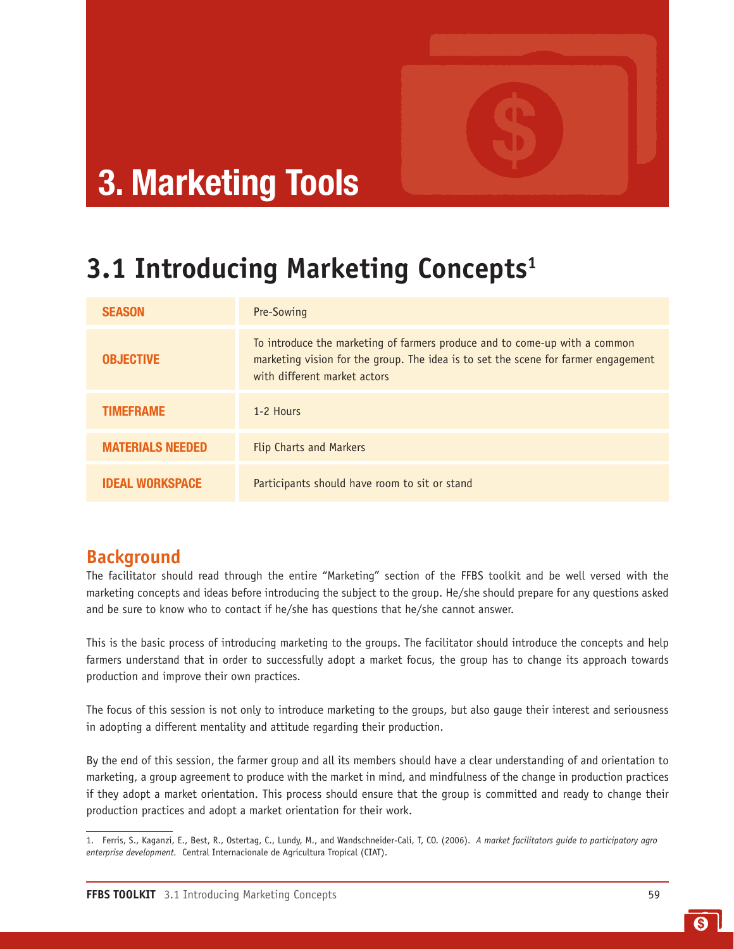

# **3. Marketing Tools**

### **3.1 Introducing Marketing Concepts1**

| <b>SEASON</b>           | Pre-Sowing                                                                                                                                                                                       |
|-------------------------|--------------------------------------------------------------------------------------------------------------------------------------------------------------------------------------------------|
| <b>OBJECTIVE</b>        | To introduce the marketing of farmers produce and to come-up with a common<br>marketing vision for the group. The idea is to set the scene for farmer engagement<br>with different market actors |
| TIMEFRAME               | 1-2 Hours                                                                                                                                                                                        |
| <b>MATERIALS NEEDED</b> | <b>Flip Charts and Markers</b>                                                                                                                                                                   |
| <b>IDEAL WORKSPACE</b>  | Participants should have room to sit or stand                                                                                                                                                    |

#### **Background**

The facilitator should read through the entire "Marketing" section of the FFBS toolkit and be well versed with the marketing concepts and ideas before introducing the subject to the group. He/she should prepare for any questions asked and be sure to know who to contact if he/she has questions that he/she cannot answer.

This is the basic process of introducing marketing to the groups. The facilitator should introduce the concepts and help farmers understand that in order to successfully adopt a market focus, the group has to change its approach towards production and improve their own practices.

The focus of this session is not only to introduce marketing to the groups, but also gauge their interest and seriousness in adopting a different mentality and attitude regarding their production.

By the end of this session, the farmer group and all its members should have a clear understanding of and orientation to marketing, a group agreement to produce with the market in mind, and mindfulness of the change in production practices if they adopt a market orientation. This process should ensure that the group is committed and ready to change their production practices and adopt a market orientation for their work.

<sup>1.</sup> Ferris, S., Kaganzi, E., Best, R., Ostertag, C., Lundy, M., and Wandschneider-Cali, T, CO. (2006). *A market facilitators guide to participatory agro enterprise development.* Central Internacionale de Agricultura Tropical (CIAT).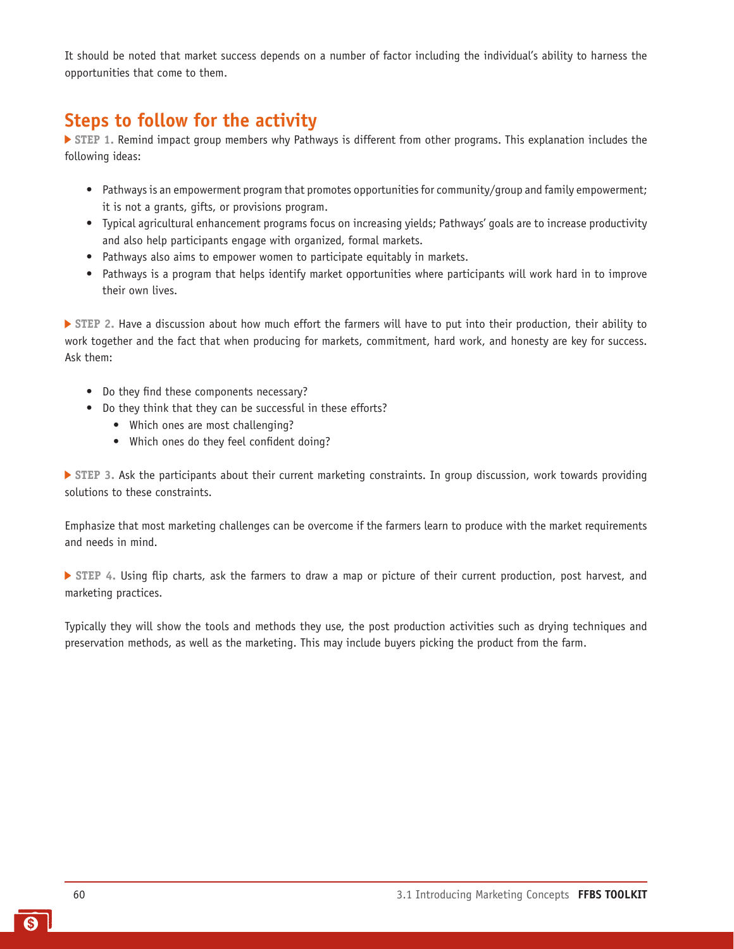It should be noted that market success depends on a number of factor including the individual's ability to harness the opportunities that come to them.

### **Steps to follow for the activity**

 **STEP 1.** Remind impact group members why Pathways is different from other programs. This explanation includes the following ideas:

- Pathways is an empowerment program that promotes opportunities for community/group and family empowerment; it is not a grants, gifts, or provisions program.
- Typical agricultural enhancement programs focus on increasing yields; Pathways' goals are to increase productivity and also help participants engage with organized, formal markets.
- Pathways also aims to empower women to participate equitably in markets.
- Pathways is a program that helps identify market opportunities where participants will work hard in to improve their own lives.

 **STEP 2.** Have a discussion about how much effort the farmers will have to put into their production, their ability to work together and the fact that when producing for markets, commitment, hard work, and honesty are key for success. Ask them:

- Do they find these components necessary?
- Do they think that they can be successful in these efforts?
	- Which ones are most challenging?
	- Which ones do they feel confident doing?

 **STEP 3.** Ask the participants about their current marketing constraints. In group discussion, work towards providing solutions to these constraints.

Emphasize that most marketing challenges can be overcome if the farmers learn to produce with the market requirements and needs in mind.

 **STEP 4.** Using flip charts, ask the farmers to draw a map or picture of their current production, post harvest, and marketing practices.

Typically they will show the tools and methods they use, the post production activities such as drying techniques and preservation methods, as well as the marketing. This may include buyers picking the product from the farm.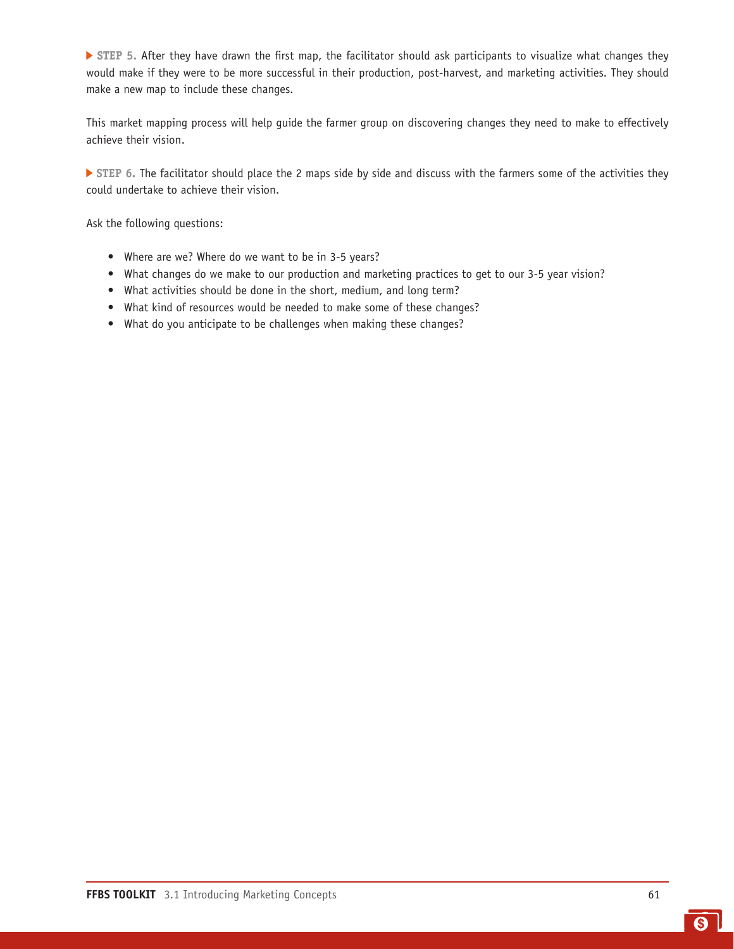**STEP 5.** After they have drawn the first map, the facilitator should ask participants to visualize what changes they would make if they were to be more successful in their production, post-harvest, and marketing activities. They should make a new map to include these changes.

This market mapping process will help guide the farmer group on discovering changes they need to make to effectively achieve their vision.

**STEP 6.** The facilitator should place the 2 maps side by side and discuss with the farmers some of the activities they could undertake to achieve their vision.

Ask the following questions:

- Where are we? Where do we want to be in 3-5 years?
- What changes do we make to our production and marketing practices to get to our 3-5 year vision?
- What activities should be done in the short, medium, and long term?
- What kind of resources would be needed to make some of these changes?
- What do you anticipate to be challenges when making these changes?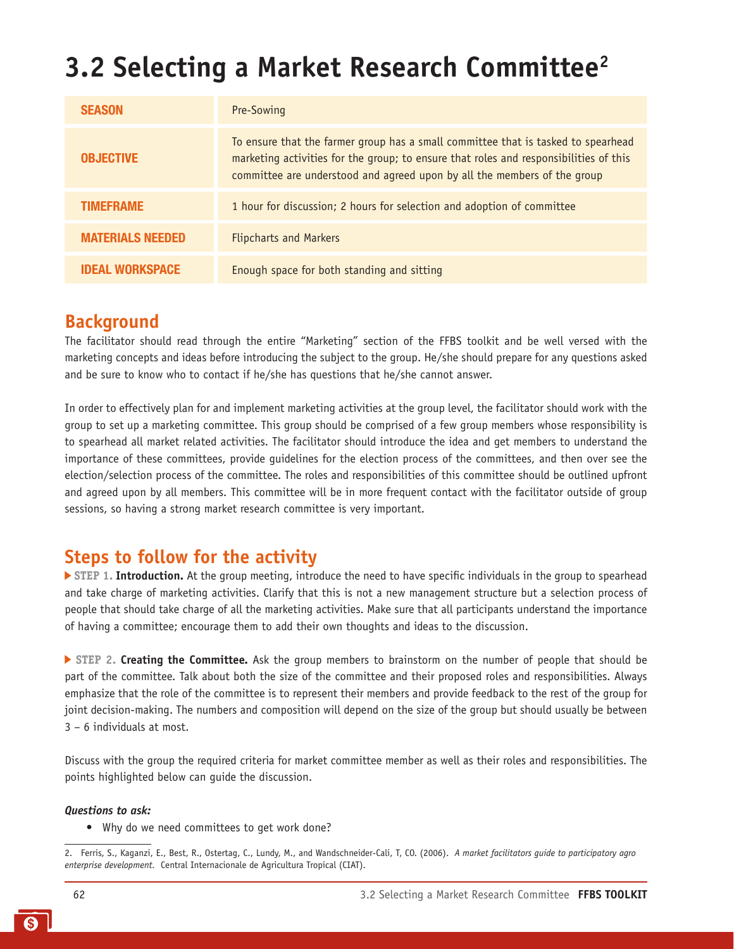## **3.2 Selecting a Market Research Committee2**

| <b>SEASON</b>           | Pre-Sowing                                                                                                                                                                                                                                             |
|-------------------------|--------------------------------------------------------------------------------------------------------------------------------------------------------------------------------------------------------------------------------------------------------|
| <b>OBJECTIVE</b>        | To ensure that the farmer group has a small committee that is tasked to spearhead<br>marketing activities for the group; to ensure that roles and responsibilities of this<br>committee are understood and agreed upon by all the members of the group |
| <b>TIMEFRAME</b>        | 1 hour for discussion; 2 hours for selection and adoption of committee                                                                                                                                                                                 |
| <b>MATERIALS NEEDED</b> | <b>Flipcharts and Markers</b>                                                                                                                                                                                                                          |
| <b>IDEAL WORKSPACE</b>  | Enough space for both standing and sitting                                                                                                                                                                                                             |

### **Background**

The facilitator should read through the entire "Marketing" section of the FFBS toolkit and be well versed with the marketing concepts and ideas before introducing the subject to the group. He/she should prepare for any questions asked and be sure to know who to contact if he/she has questions that he/she cannot answer.

In order to effectively plan for and implement marketing activities at the group level, the facilitator should work with the group to set up a marketing committee. This group should be comprised of a few group members whose responsibility is to spearhead all market related activities. The facilitator should introduce the idea and get members to understand the importance of these committees, provide guidelines for the election process of the committees, and then over see the election/selection process of the committee. The roles and responsibilities of this committee should be outlined upfront and agreed upon by all members. This committee will be in more frequent contact with the facilitator outside of group sessions, so having a strong market research committee is very important.

### **Steps to follow for the activity**

 **STEP 1. Introduction.** At the group meeting, introduce the need to have specific individuals in the group to spearhead and take charge of marketing activities. Clarify that this is not a new management structure but a selection process of people that should take charge of all the marketing activities. Make sure that all participants understand the importance of having a committee; encourage them to add their own thoughts and ideas to the discussion.

 **STEP 2. Creating the Committee.** Ask the group members to brainstorm on the number of people that should be part of the committee. Talk about both the size of the committee and their proposed roles and responsibilities. Always emphasize that the role of the committee is to represent their members and provide feedback to the rest of the group for joint decision-making. The numbers and composition will depend on the size of the group but should usually be between 3 – 6 individuals at most.

Discuss with the group the required criteria for market committee member as well as their roles and responsibilities. The points highlighted below can guide the discussion.

#### *Questions to ask:*

• Why do we need committees to get work done?

<sup>2.</sup> Ferris, S., Kaganzi, E., Best, R., Ostertag, C., Lundy, M., and Wandschneider-Cali, T, CO. (2006). *A market facilitators guide to participatory agro enterprise development.* Central Internacionale de Agricultura Tropical (CIAT).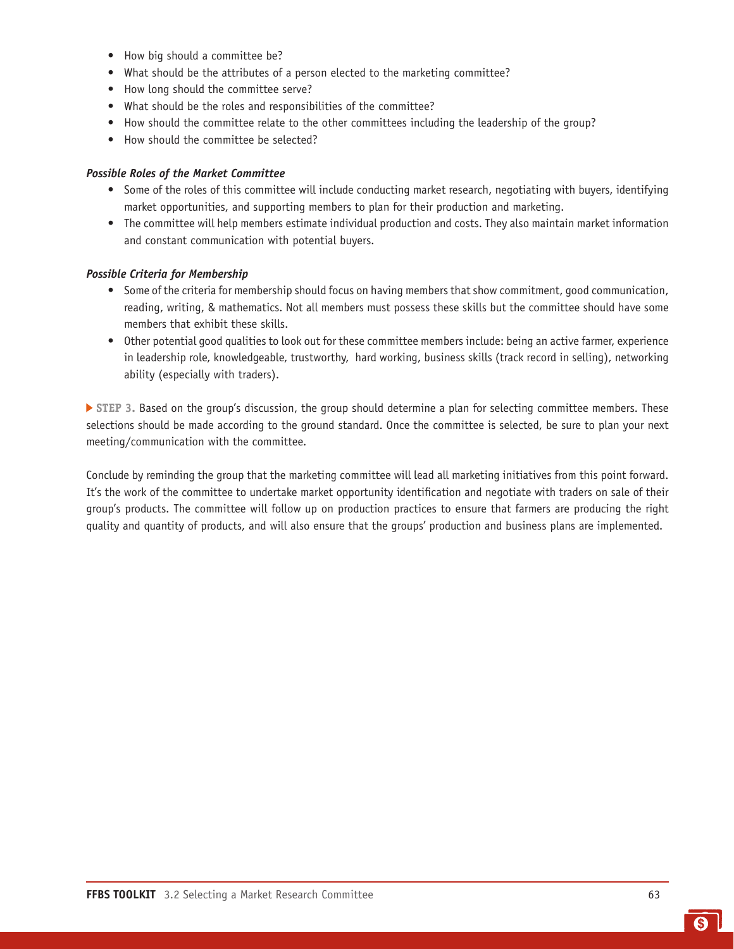- How big should a committee be?
- What should be the attributes of a person elected to the marketing committee?
- How long should the committee serve?
- What should be the roles and responsibilities of the committee?
- How should the committee relate to the other committees including the leadership of the group?
- How should the committee be selected?

#### *Possible Roles of the Market Committee*

- Some of the roles of this committee will include conducting market research, negotiating with buyers, identifying market opportunities, and supporting members to plan for their production and marketing.
- The committee will help members estimate individual production and costs. They also maintain market information and constant communication with potential buyers.

#### *Possible Criteria for Membership*

- Some of the criteria for membership should focus on having members that show commitment, good communication, reading, writing, & mathematics. Not all members must possess these skills but the committee should have some members that exhibit these skills.
- Other potential good qualities to look out for these committee members include: being an active farmer, experience in leadership role, knowledgeable, trustworthy, hard working, business skills (track record in selling), networking ability (especially with traders).

**STEP 3. Based on the group's discussion, the group should determine a plan for selecting committee members. These** selections should be made according to the ground standard. Once the committee is selected, be sure to plan your next meeting/communication with the committee.

Conclude by reminding the group that the marketing committee will lead all marketing initiatives from this point forward. It's the work of the committee to undertake market opportunity identification and negotiate with traders on sale of their group's products. The committee will follow up on production practices to ensure that farmers are producing the right quality and quantity of products, and will also ensure that the groups' production and business plans are implemented.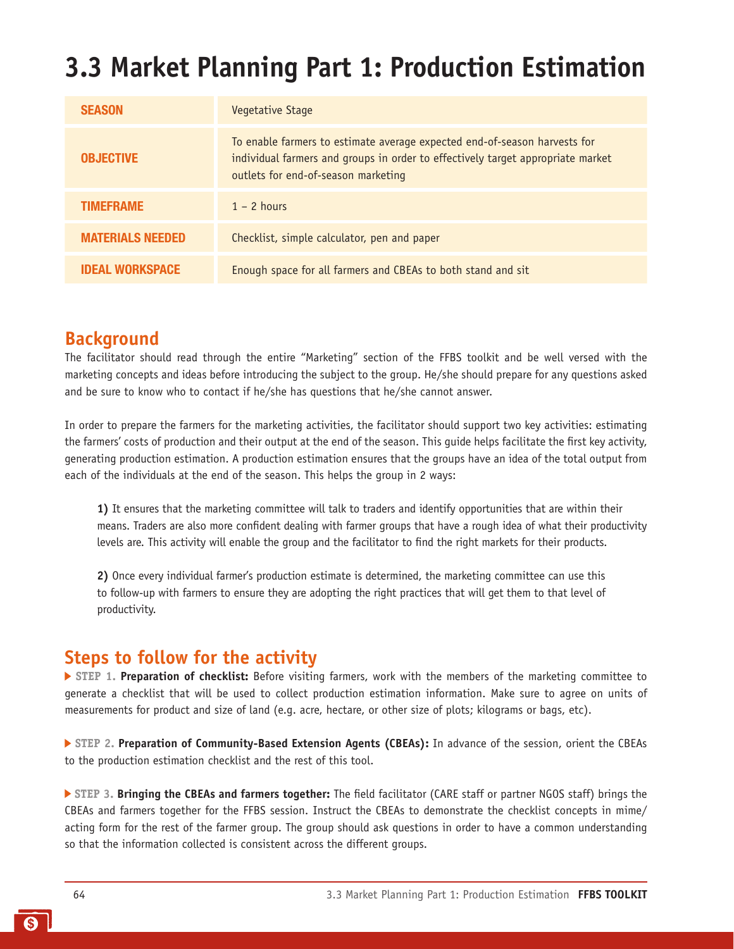## **3.3 Market Planning Part 1: Production Estimation**

| <b>SEASON</b>           | Vegetative Stage                                                                                                                                                                                    |
|-------------------------|-----------------------------------------------------------------------------------------------------------------------------------------------------------------------------------------------------|
| <b>OBJECTIVE</b>        | To enable farmers to estimate average expected end-of-season harvests for<br>individual farmers and groups in order to effectively target appropriate market<br>outlets for end-of-season marketing |
| <b>TIMEFRAME</b>        | $1 - 2$ hours                                                                                                                                                                                       |
| <b>MATERIALS NEEDED</b> | Checklist, simple calculator, pen and paper                                                                                                                                                         |
| <b>IDEAL WORKSPACE</b>  | Enough space for all farmers and CBEAs to both stand and sit                                                                                                                                        |

#### **Background**

The facilitator should read through the entire "Marketing" section of the FFBS toolkit and be well versed with the marketing concepts and ideas before introducing the subject to the group. He/she should prepare for any questions asked and be sure to know who to contact if he/she has questions that he/she cannot answer.

In order to prepare the farmers for the marketing activities, the facilitator should support two key activities: estimating the farmers' costs of production and their output at the end of the season. This guide helps facilitate the first key activity, generating production estimation. A production estimation ensures that the groups have an idea of the total output from each of the individuals at the end of the season. This helps the group in 2 ways:

**1)** It ensures that the marketing committee will talk to traders and identify opportunities that are within their means. Traders are also more confident dealing with farmer groups that have a rough idea of what their productivity levels are. This activity will enable the group and the facilitator to find the right markets for their products.

**2)** Once every individual farmer's production estimate is determined, the marketing committee can use this to follow-up with farmers to ensure they are adopting the right practices that will get them to that level of productivity.

#### **Steps to follow for the activity**

 **STEP 1. Preparation of checklist:** Before visiting farmers, work with the members of the marketing committee to generate a checklist that will be used to collect production estimation information. Make sure to agree on units of measurements for product and size of land (e.g. acre, hectare, or other size of plots; kilograms or bags, etc).

 **STEP 2. Preparation of Community-Based Extension Agents (CBEAs):** In advance of the session, orient the CBEAs to the production estimation checklist and the rest of this tool.

 **STEP 3. Bringing the CBEAs and farmers together:** The field facilitator (CARE staff or partner NGOS staff) brings the CBEAs and farmers together for the FFBS session. Instruct the CBEAs to demonstrate the checklist concepts in mime/ acting form for the rest of the farmer group. The group should ask questions in order to have a common understanding so that the information collected is consistent across the different groups.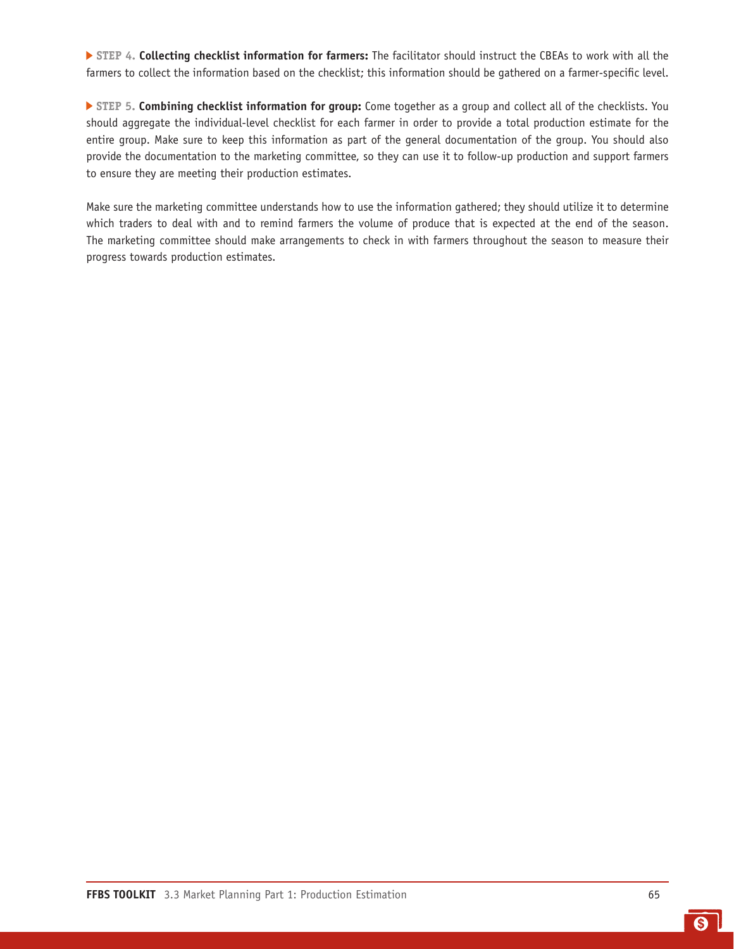**STEP 4. Collecting checklist information for farmers:** The facilitator should instruct the CBEAs to work with all the farmers to collect the information based on the checklist; this information should be gathered on a farmer-specific level.

 **STEP 5. Combining checklist information for group:** Come together as a group and collect all of the checklists. You should aggregate the individual-level checklist for each farmer in order to provide a total production estimate for the entire group. Make sure to keep this information as part of the general documentation of the group. You should also provide the documentation to the marketing committee, so they can use it to follow-up production and support farmers to ensure they are meeting their production estimates.

Make sure the marketing committee understands how to use the information gathered; they should utilize it to determine which traders to deal with and to remind farmers the volume of produce that is expected at the end of the season. The marketing committee should make arrangements to check in with farmers throughout the season to measure their progress towards production estimates.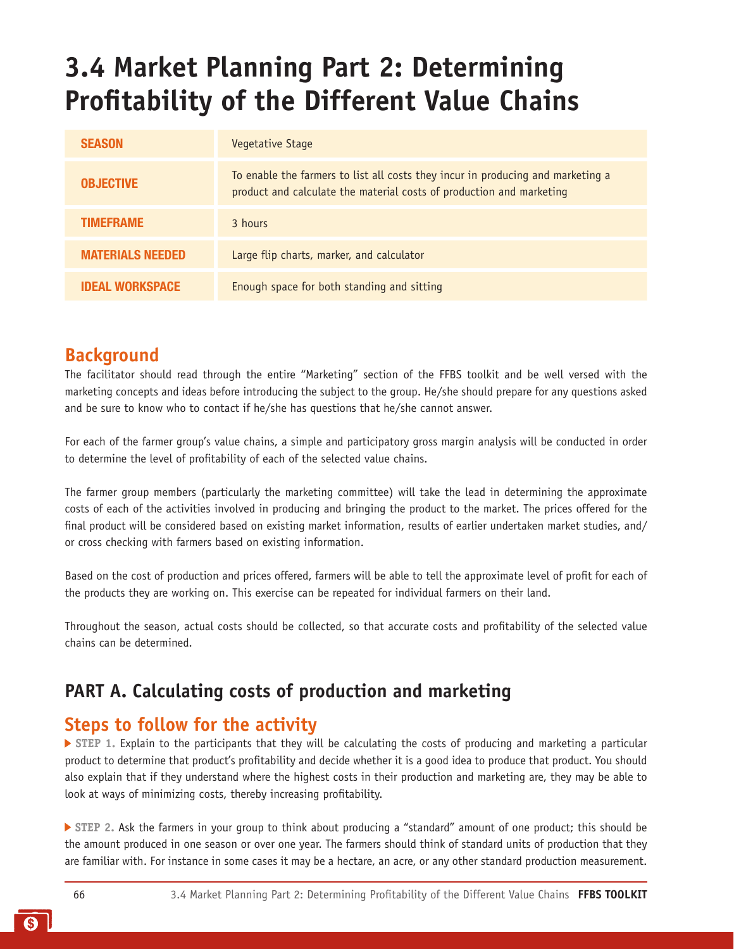## **3.4 Market Planning Part 2: Determining Profitability of the Different Value Chains**

| SEASON                  | Vegetative Stage                                                                                                                                        |
|-------------------------|---------------------------------------------------------------------------------------------------------------------------------------------------------|
| <b>OBJECTIVE</b>        | To enable the farmers to list all costs they incur in producing and marketing a<br>product and calculate the material costs of production and marketing |
| <b>TIMEFRAME</b>        | 3 hours                                                                                                                                                 |
| <b>MATERIALS NEEDED</b> | Large flip charts, marker, and calculator                                                                                                               |
| <b>IDEAL WORKSPACE</b>  | Enough space for both standing and sitting                                                                                                              |

#### **Background**

The facilitator should read through the entire "Marketing" section of the FFBS toolkit and be well versed with the marketing concepts and ideas before introducing the subject to the group. He/she should prepare for any questions asked and be sure to know who to contact if he/she has questions that he/she cannot answer.

For each of the farmer group's value chains, a simple and participatory gross margin analysis will be conducted in order to determine the level of profitability of each of the selected value chains.

The farmer group members (particularly the marketing committee) will take the lead in determining the approximate costs of each of the activities involved in producing and bringing the product to the market. The prices offered for the final product will be considered based on existing market information, results of earlier undertaken market studies, and/ or cross checking with farmers based on existing information.

Based on the cost of production and prices offered, farmers will be able to tell the approximate level of profit for each of the products they are working on. This exercise can be repeated for individual farmers on their land.

Throughout the season, actual costs should be collected, so that accurate costs and profitability of the selected value chains can be determined.

### **PART A. Calculating costs of production and marketing**

#### **Steps to follow for the activity**

 **STEP 1.** Explain to the participants that they will be calculating the costs of producing and marketing a particular product to determine that product's profitability and decide whether it is a good idea to produce that product. You should also explain that if they understand where the highest costs in their production and marketing are, they may be able to look at ways of minimizing costs, thereby increasing profitability.

 **STEP 2.** Ask the farmers in your group to think about producing a "standard" amount of one product; this should be the amount produced in one season or over one year. The farmers should think of standard units of production that they are familiar with. For instance in some cases it may be a hectare, an acre, or any other standard production measurement.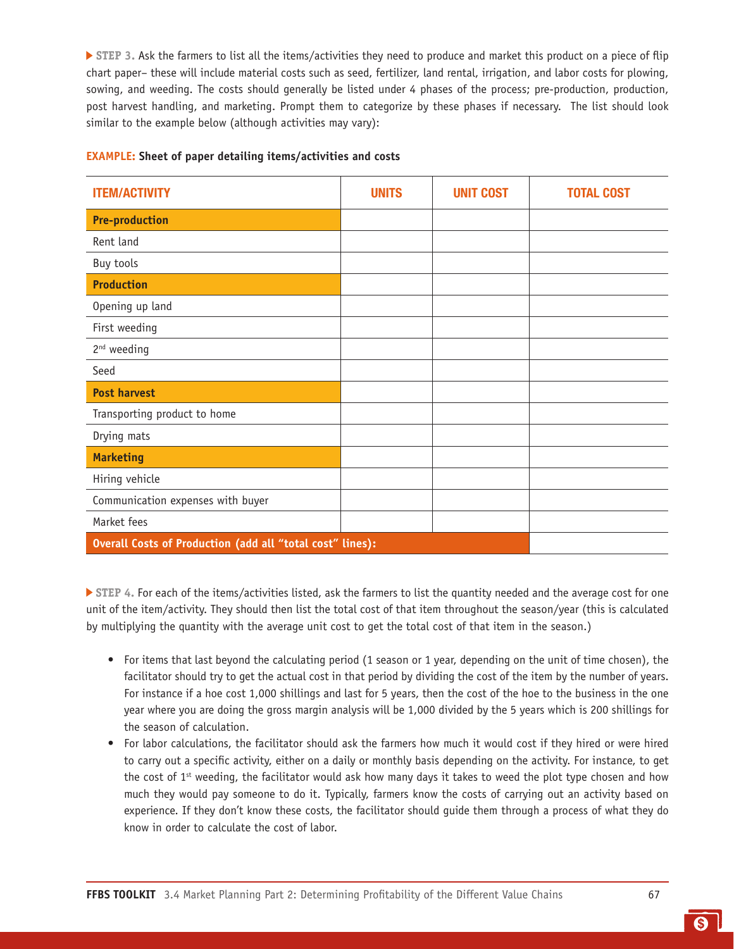**STEP 3.** Ask the farmers to list all the items/activities they need to produce and market this product on a piece of flip chart paper– these will include material costs such as seed, fertilizer, land rental, irrigation, and labor costs for plowing, sowing, and weeding. The costs should generally be listed under 4 phases of the process; pre-production, production, post harvest handling, and marketing. Prompt them to categorize by these phases if necessary. The list should look similar to the example below (although activities may vary):

| <b>ITEM/ACTIVITY</b>                                      | <b>UNITS</b> | <b>UNIT COST</b> | <b>TOTAL COST</b> |
|-----------------------------------------------------------|--------------|------------------|-------------------|
| <b>Pre-production</b>                                     |              |                  |                   |
| Rent land                                                 |              |                  |                   |
| Buy tools                                                 |              |                  |                   |
| <b>Production</b>                                         |              |                  |                   |
| Opening up land                                           |              |                  |                   |
| First weeding                                             |              |                  |                   |
| $2nd$ weeding                                             |              |                  |                   |
| Seed                                                      |              |                  |                   |
| <b>Post harvest</b>                                       |              |                  |                   |
| Transporting product to home                              |              |                  |                   |
| Drying mats                                               |              |                  |                   |
| <b>Marketing</b>                                          |              |                  |                   |
| Hiring vehicle                                            |              |                  |                   |
| Communication expenses with buyer                         |              |                  |                   |
| Market fees                                               |              |                  |                   |
| Overall Costs of Production (add all "total cost" lines): |              |                  |                   |

#### **EXAMPLE: Sheet of paper detailing items/activities and costs**

**STEP 4. For each of the items/activities listed, ask the farmers to list the quantity needed and the average cost for one** unit of the item/activity. They should then list the total cost of that item throughout the season/year (this is calculated by multiplying the quantity with the average unit cost to get the total cost of that item in the season.)

- For items that last beyond the calculating period (1 season or 1 year, depending on the unit of time chosen), the facilitator should try to get the actual cost in that period by dividing the cost of the item by the number of years. For instance if a hoe cost 1,000 shillings and last for 5 years, then the cost of the hoe to the business in the one year where you are doing the gross margin analysis will be 1,000 divided by the 5 years which is 200 shillings for the season of calculation.
- For labor calculations, the facilitator should ask the farmers how much it would cost if they hired or were hired to carry out a specific activity, either on a daily or monthly basis depending on the activity. For instance, to get the cost of  $1<sup>st</sup>$  weeding, the facilitator would ask how many days it takes to weed the plot type chosen and how much they would pay someone to do it. Typically, farmers know the costs of carrying out an activity based on experience. If they don't know these costs, the facilitator should guide them through a process of what they do know in order to calculate the cost of labor.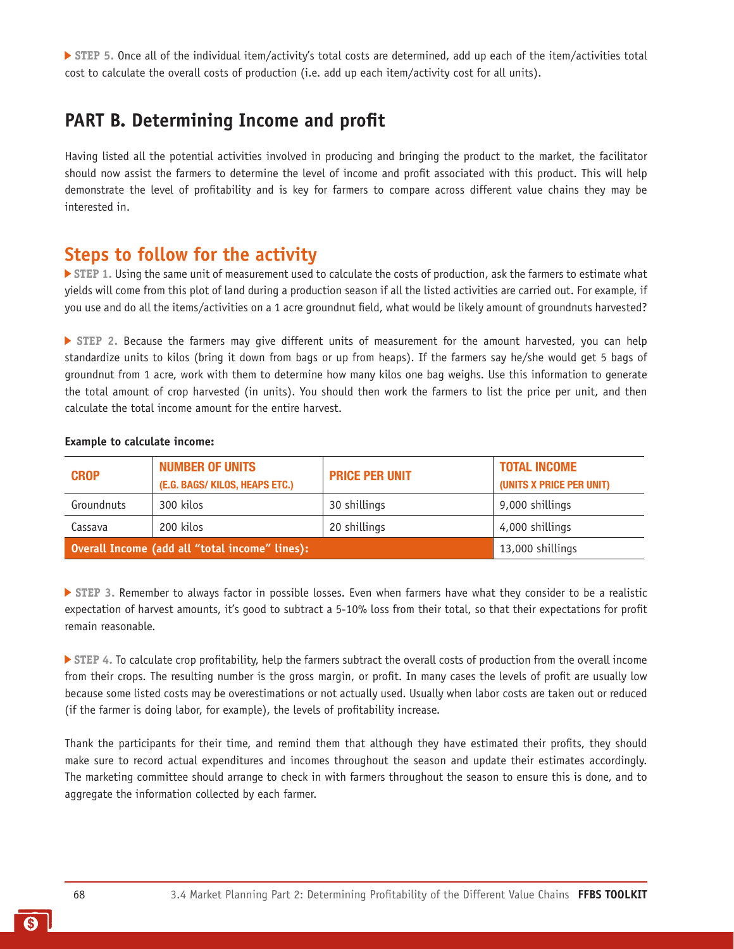**STEP 5.** Once all of the individual item/activity's total costs are determined, add up each of the item/activities total cost to calculate the overall costs of production (i.e. add up each item/activity cost for all units).

### **PART B. Determining Income and profit**

Having listed all the potential activities involved in producing and bringing the product to the market, the facilitator should now assist the farmers to determine the level of income and profit associated with this product. This will help demonstrate the level of profitability and is key for farmers to compare across different value chains they may be interested in.

#### **Steps to follow for the activity**

 **STEP 1.** Using the same unit of measurement used to calculate the costs of production, ask the farmers to estimate what yields will come from this plot of land during a production season if all the listed activities are carried out. For example, if you use and do all the items/activities on a 1 acre groundnut field, what would be likely amount of groundnuts harvested?

 **STEP 2.** Because the farmers may give different units of measurement for the amount harvested, you can help standardize units to kilos (bring it down from bags or up from heaps). If the farmers say he/she would get 5 bags of groundnut from 1 acre, work with them to determine how many kilos one bag weighs. Use this information to generate the total amount of crop harvested (in units). You should then work the farmers to list the price per unit, and then calculate the total income amount for the entire harvest.

#### **Example to calculate income:**

| <b>CROP</b>                                    | <b>NUMBER OF UNITS</b><br>(E.G. BAGS/KILOS, HEAPS ETC.) | <b>PRICE PER UNIT</b> | <b>TOTAL INCOME</b><br>(UNITS X PRICE PER UNIT) |
|------------------------------------------------|---------------------------------------------------------|-----------------------|-------------------------------------------------|
| Groundnuts                                     | 300 kilos                                               | 30 shillings          | 9,000 shillings                                 |
| Cassava                                        | 200 kilos                                               | 20 shillings          | 4,000 shillings                                 |
| Overall Income (add all "total income" lines): |                                                         |                       | 13,000 shillings                                |

 **STEP 3.** Remember to always factor in possible losses. Even when farmers have what they consider to be a realistic expectation of harvest amounts, it's good to subtract a 5-10% loss from their total, so that their expectations for profit remain reasonable.

**STEP 4.** To calculate crop profitability, help the farmers subtract the overall costs of production from the overall income from their crops. The resulting number is the gross margin, or profit. In many cases the levels of profit are usually low because some listed costs may be overestimations or not actually used. Usually when labor costs are taken out or reduced (if the farmer is doing labor, for example), the levels of profitability increase.

Thank the participants for their time, and remind them that although they have estimated their profits, they should make sure to record actual expenditures and incomes throughout the season and update their estimates accordingly. The marketing committee should arrange to check in with farmers throughout the season to ensure this is done, and to aggregate the information collected by each farmer.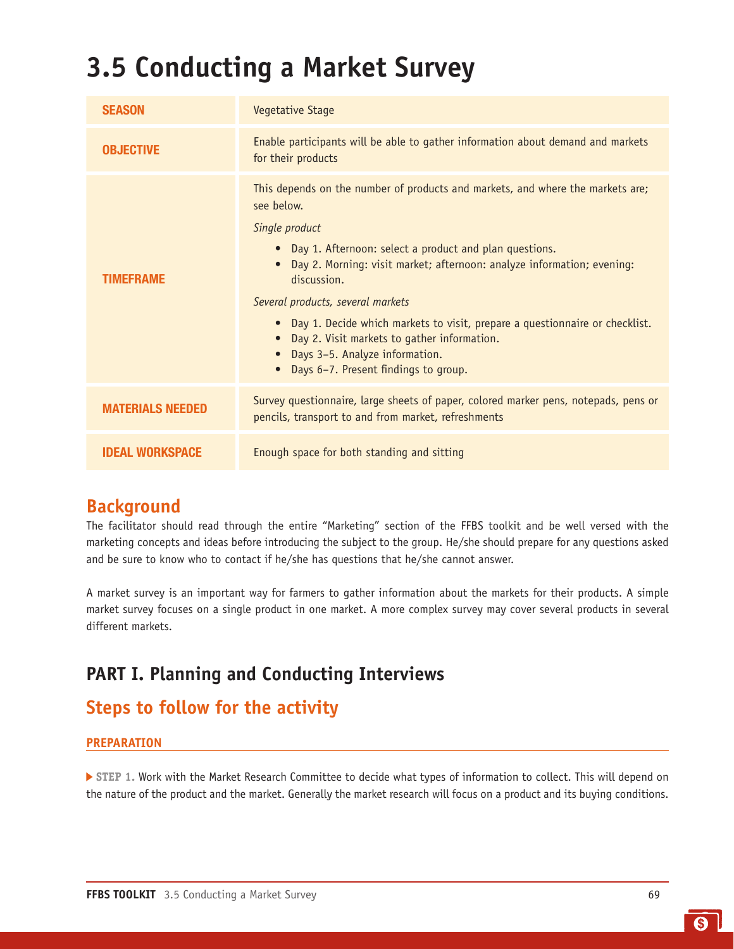## **3.5 Conducting a Market Survey**

| <b>SEASON</b>           | <b>Vegetative Stage</b>                                                                                                                                                                                                                                                                                                                                                                                                                                                                                        |  |
|-------------------------|----------------------------------------------------------------------------------------------------------------------------------------------------------------------------------------------------------------------------------------------------------------------------------------------------------------------------------------------------------------------------------------------------------------------------------------------------------------------------------------------------------------|--|
| <b>OBJECTIVE</b>        | Enable participants will be able to gather information about demand and markets<br>for their products                                                                                                                                                                                                                                                                                                                                                                                                          |  |
| <b>/IFFRAME</b>         | This depends on the number of products and markets, and where the markets are;<br>see below.<br>Single product<br>Day 1. Afternoon: select a product and plan questions.<br>Day 2. Morning: visit market; afternoon: analyze information; evening:<br>discussion.<br>Several products, several markets<br>Day 1. Decide which markets to visit, prepare a questionnaire or checklist.<br>Day 2. Visit markets to gather information.<br>Days 3-5. Analyze information.<br>Days 6-7. Present findings to group. |  |
| <b>MATERIALS NEEDED</b> | Survey questionnaire, large sheets of paper, colored marker pens, notepads, pens or<br>pencils, transport to and from market, refreshments                                                                                                                                                                                                                                                                                                                                                                     |  |
| IDEAL WORKSPACE         | Enough space for both standing and sitting                                                                                                                                                                                                                                                                                                                                                                                                                                                                     |  |

#### **Background**

The facilitator should read through the entire "Marketing" section of the FFBS toolkit and be well versed with the marketing concepts and ideas before introducing the subject to the group. He/she should prepare for any questions asked and be sure to know who to contact if he/she has questions that he/she cannot answer.

A market survey is an important way for farmers to gather information about the markets for their products. A simple market survey focuses on a single product in one market. A more complex survey may cover several products in several different markets.

### **PART I. Planning and Conducting Interviews**

### **Steps to follow for the activity**

#### **PREPARATION**

 **STEP 1.** Work with the Market Research Committee to decide what types of information to collect. This will depend on the nature of the product and the market. Generally the market research will focus on a product and its buying conditions.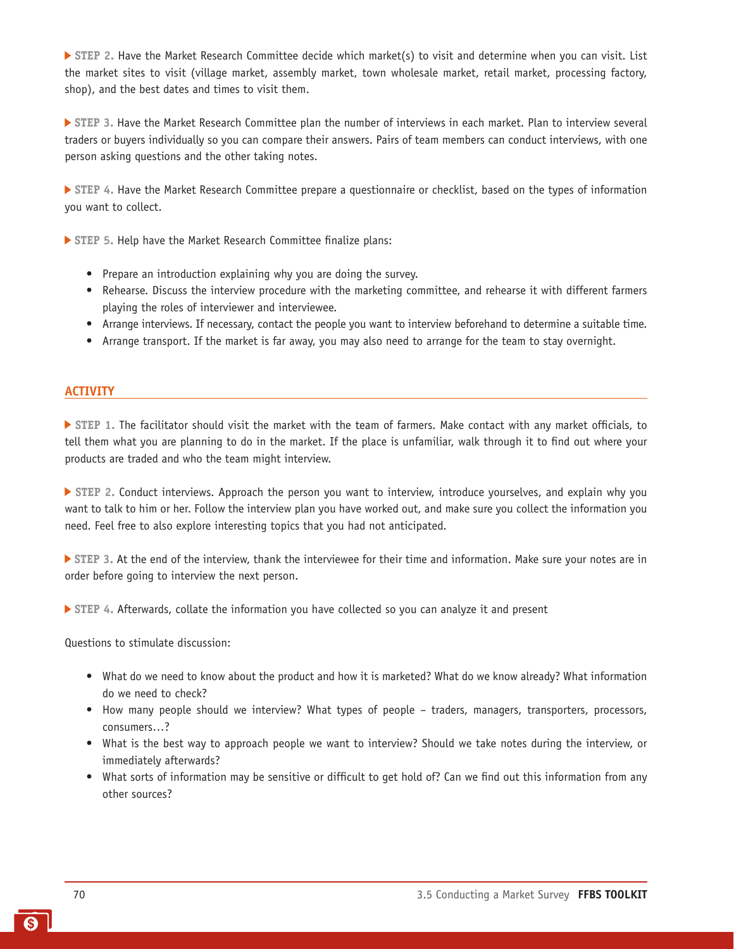**STEP 2.** Have the Market Research Committee decide which market(s) to visit and determine when you can visit. List the market sites to visit (village market, assembly market, town wholesale market, retail market, processing factory, shop), and the best dates and times to visit them.

 **STEP 3.** Have the Market Research Committee plan the number of interviews in each market. Plan to interview several traders or buyers individually so you can compare their answers. Pairs of team members can conduct interviews, with one person asking questions and the other taking notes.

 **STEP 4.** Have the Market Research Committee prepare a questionnaire or checklist, based on the types of information you want to collect.

 **STEP 5.** Help have the Market Research Committee finalize plans:

- Prepare an introduction explaining why you are doing the survey.
- Rehearse. Discuss the interview procedure with the marketing committee, and rehearse it with different farmers playing the roles of interviewer and interviewee.
- Arrange interviews. If necessary, contact the people you want to interview beforehand to determine a suitable time.
- Arrange transport. If the market is far away, you may also need to arrange for the team to stay overnight.

#### **ACTIVITY**

 **STEP 1.** The facilitator should visit the market with the team of farmers. Make contact with any market officials, to tell them what you are planning to do in the market. If the place is unfamiliar, walk through it to find out where your products are traded and who the team might interview.

 **STEP 2.** Conduct interviews. Approach the person you want to interview, introduce yourselves, and explain why you want to talk to him or her. Follow the interview plan you have worked out, and make sure you collect the information you need. Feel free to also explore interesting topics that you had not anticipated.

 **STEP 3.** At the end of the interview, thank the interviewee for their time and information. Make sure your notes are in order before going to interview the next person.

 **STEP 4.** Afterwards, collate the information you have collected so you can analyze it and present

Questions to stimulate discussion:

- What do we need to know about the product and how it is marketed? What do we know already? What information do we need to check?
- How many people should we interview? What types of people traders, managers, transporters, processors, consumers…?
- What is the best way to approach people we want to interview? Should we take notes during the interview, or immediately afterwards?
- What sorts of information may be sensitive or difficult to get hold of? Can we find out this information from any other sources?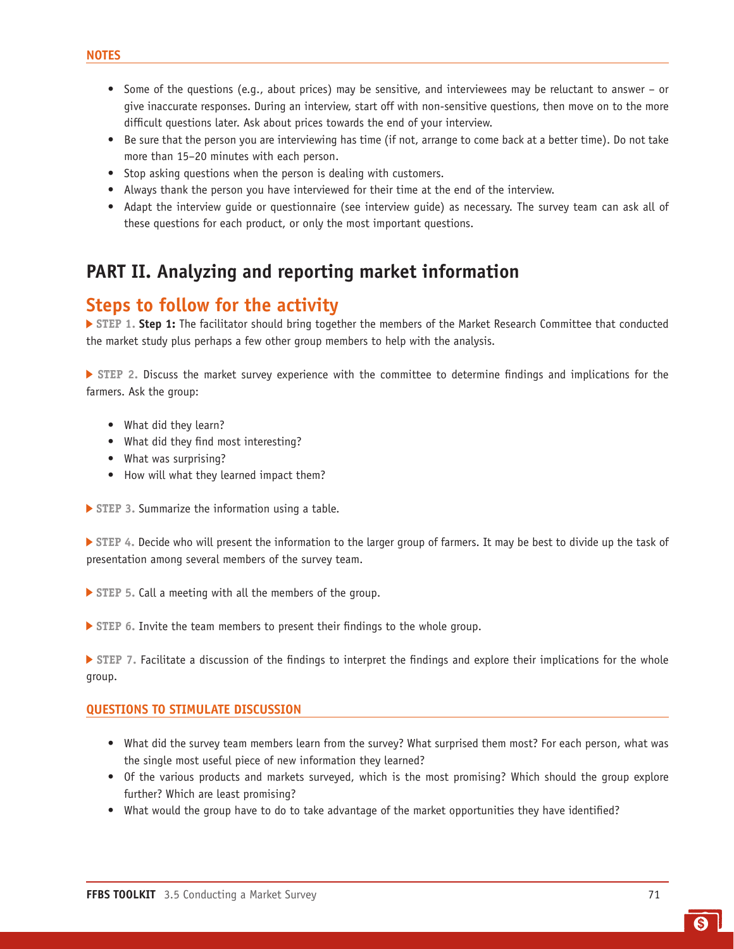- Some of the questions (e.g., about prices) may be sensitive, and interviewees may be reluctant to answer or give inaccurate responses. During an interview, start off with non-sensitive questions, then move on to the more difficult questions later. Ask about prices towards the end of your interview.
- Be sure that the person you are interviewing has time (if not, arrange to come back at a better time). Do not take more than 15–20 minutes with each person.
- Stop asking questions when the person is dealing with customers.
- Always thank the person you have interviewed for their time at the end of the interview.
- Adapt the interview guide or questionnaire (see interview guide) as necessary. The survey team can ask all of these questions for each product, or only the most important questions.

#### **PART II. Analyzing and reporting market information**

#### **Steps to follow for the activity**

 **STEP 1. Step 1:** The facilitator should bring together the members of the Market Research Committee that conducted the market study plus perhaps a few other group members to help with the analysis.

 **STEP 2.** Discuss the market survey experience with the committee to determine findings and implications for the farmers. Ask the group:

- What did they learn?
- What did they find most interesting?
- What was surprising?
- How will what they learned impact them?

 **STEP 3.** Summarize the information using a table.

 **STEP 4.** Decide who will present the information to the larger group of farmers. It may be best to divide up the task of presentation among several members of the survey team.

 **STEP 5.** Call a meeting with all the members of the group.

**STEP 6.** Invite the team members to present their findings to the whole group.

**STEP 7.** Facilitate a discussion of the findings to interpret the findings and explore their implications for the whole group.

#### **QUESTIONS TO STIMULATE DISCUSSION**

- What did the survey team members learn from the survey? What surprised them most? For each person, what was the single most useful piece of new information they learned?
- Of the various products and markets surveyed, which is the most promising? Which should the group explore further? Which are least promising?
- What would the group have to do to take advantage of the market opportunities they have identified?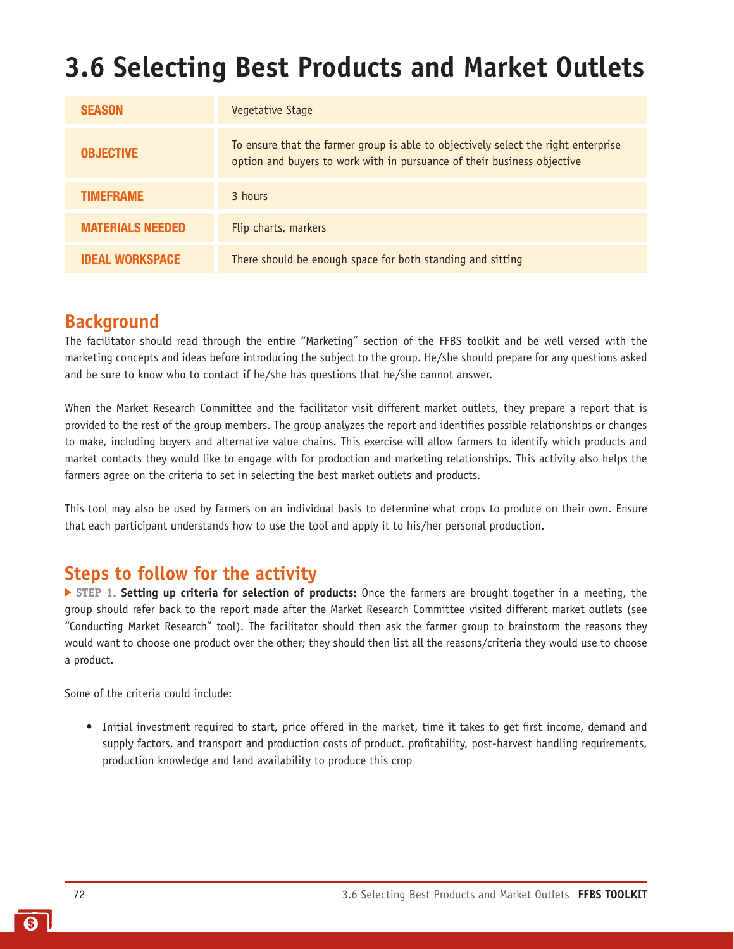## **3.6 Selecting Best Products and Market Outlets**

| <b>SEASON</b>           | Vegetative Stage                                                                                                                                              |
|-------------------------|---------------------------------------------------------------------------------------------------------------------------------------------------------------|
| <b>OBJECTIVE</b>        | To ensure that the farmer group is able to objectively select the right enterprise<br>option and buyers to work with in pursuance of their business objective |
| <b>TIMEFRAME</b>        | 3 hours                                                                                                                                                       |
| <b>MATERIALS NEEDED</b> | Flip charts, markers                                                                                                                                          |
| <b>IDEAL WORKSPACE</b>  | There should be enough space for both standing and sitting                                                                                                    |

### **Background**

The facilitator should read through the entire "Marketing" section of the FFBS toolkit and be well versed with the marketing concepts and ideas before introducing the subject to the group. He/she should prepare for any questions asked and be sure to know who to contact if he/she has questions that he/she cannot answer.

When the Market Research Committee and the facilitator visit different market outlets, they prepare a report that is provided to the rest of the group members. The group analyzes the report and identifies possible relationships or changes to make, including buyers and alternative value chains. This exercise will allow farmers to identify which products and market contacts they would like to engage with for production and marketing relationships. This activity also helps the farmers agree on the criteria to set in selecting the best market outlets and products.

This tool may also be used by farmers on an individual basis to determine what crops to produce on their own. Ensure that each participant understands how to use the tool and apply it to his/her personal production.

### **Steps to follow for the activity**

 **STEP 1. Setting up criteria for selection of products:** Once the farmers are brought together in a meeting, the group should refer back to the report made after the Market Research Committee visited different market outlets (see "Conducting Market Research" tool). The facilitator should then ask the farmer group to brainstorm the reasons they would want to choose one product over the other; they should then list all the reasons/criteria they would use to choose a product.

Some of the criteria could include:

• Initial investment required to start, price offered in the market, time it takes to get first income, demand and supply factors, and transport and production costs of product, profitability, post-harvest handling requirements, production knowledge and land availability to produce this crop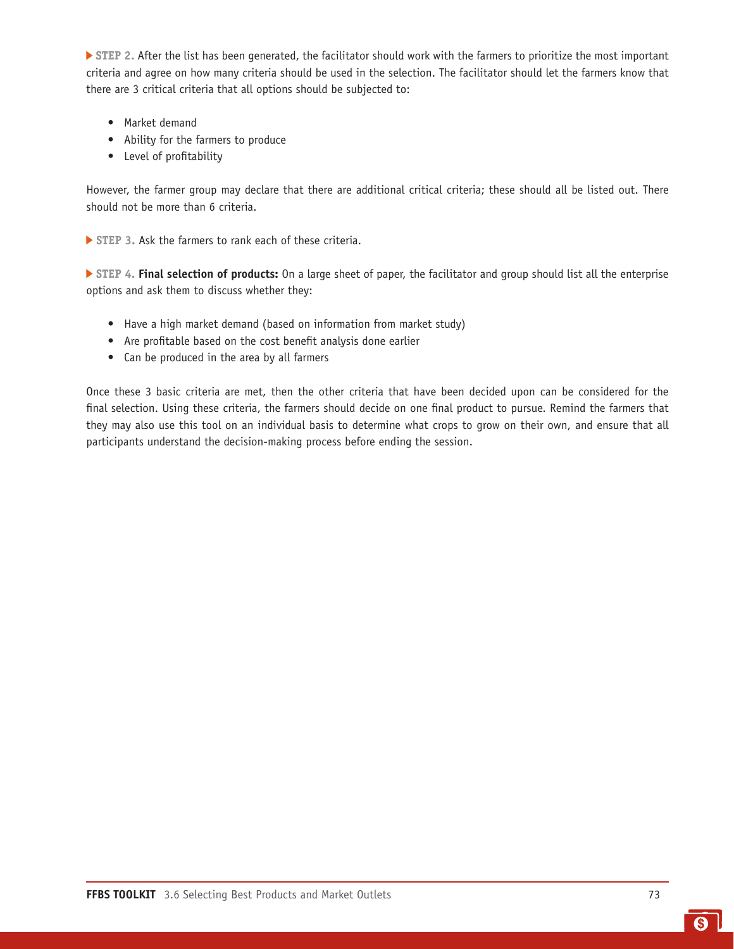**STEP 2.** After the list has been generated, the facilitator should work with the farmers to prioritize the most important criteria and agree on how many criteria should be used in the selection. The facilitator should let the farmers know that there are 3 critical criteria that all options should be subjected to:

- Market demand
- Ability for the farmers to produce
- Level of profitability

However, the farmer group may declare that there are additional critical criteria; these should all be listed out. There should not be more than 6 criteria.

 **STEP 3.** Ask the farmers to rank each of these criteria.

 **STEP 4. Final selection of products:** On a large sheet of paper, the facilitator and group should list all the enterprise options and ask them to discuss whether they:

- Have a high market demand (based on information from market study)
- Are profitable based on the cost benefit analysis done earlier
- Can be produced in the area by all farmers

Once these 3 basic criteria are met, then the other criteria that have been decided upon can be considered for the final selection. Using these criteria, the farmers should decide on one final product to pursue. Remind the farmers that they may also use this tool on an individual basis to determine what crops to grow on their own, and ensure that all participants understand the decision-making process before ending the session.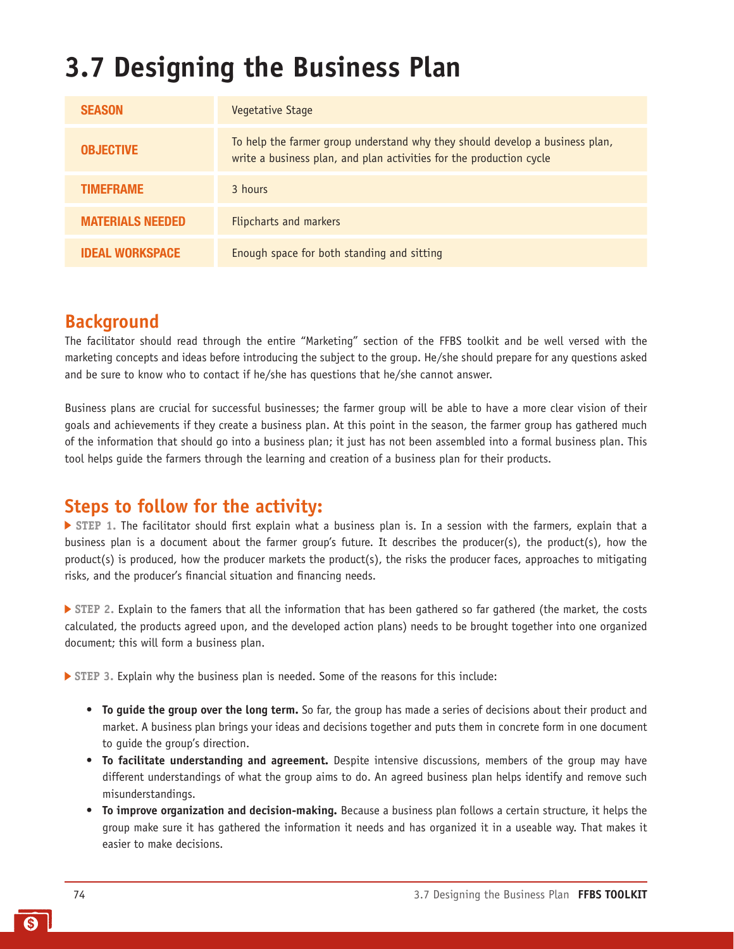## **3.7 Designing the Business Plan**

| <b>SEASON</b>           | Vegetative Stage                                                                                                                                    |
|-------------------------|-----------------------------------------------------------------------------------------------------------------------------------------------------|
| <b>OBJECTIVE</b>        | To help the farmer group understand why they should develop a business plan,<br>write a business plan, and plan activities for the production cycle |
| <b>TIMEFRAME</b>        | 3 hours                                                                                                                                             |
| <b>MATERIALS NEEDED</b> | <b>Flipcharts and markers</b>                                                                                                                       |
| <b>IDEAL WORKSPACE</b>  | Enough space for both standing and sitting                                                                                                          |

### **Background**

The facilitator should read through the entire "Marketing" section of the FFBS toolkit and be well versed with the marketing concepts and ideas before introducing the subject to the group. He/she should prepare for any questions asked and be sure to know who to contact if he/she has questions that he/she cannot answer.

Business plans are crucial for successful businesses; the farmer group will be able to have a more clear vision of their goals and achievements if they create a business plan. At this point in the season, the farmer group has gathered much of the information that should go into a business plan; it just has not been assembled into a formal business plan. This tool helps guide the farmers through the learning and creation of a business plan for their products.

### **Steps to follow for the activity:**

 **STEP 1.** The facilitator should first explain what a business plan is. In a session with the farmers, explain that a business plan is a document about the farmer group's future. It describes the producer(s), the product(s), how the product(s) is produced, how the producer markets the product(s), the risks the producer faces, approaches to mitigating risks, and the producer's financial situation and financing needs.

**STEP 2.** Explain to the famers that all the information that has been gathered so far gathered (the market, the costs calculated, the products agreed upon, and the developed action plans) needs to be brought together into one organized document; this will form a business plan.

 **STEP 3.** Explain why the business plan is needed. Some of the reasons for this include:

- **• To guide the group over the long term.** So far, the group has made a series of decisions about their product and market. A business plan brings your ideas and decisions together and puts them in concrete form in one document to guide the group's direction.
- **• To facilitate understanding and agreement.** Despite intensive discussions, members of the group may have different understandings of what the group aims to do. An agreed business plan helps identify and remove such misunderstandings.
- **• To improve organization and decision-making.** Because a business plan follows a certain structure, it helps the group make sure it has gathered the information it needs and has organized it in a useable way. That makes it easier to make decisions.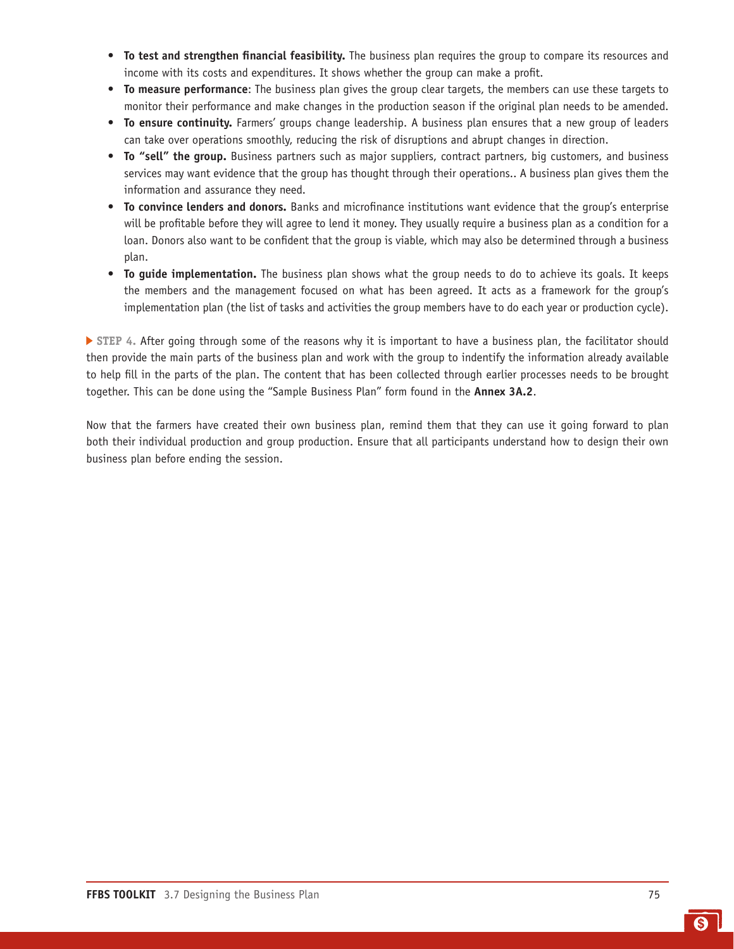- **• To test and strengthen financial feasibility.** The business plan requires the group to compare its resources and income with its costs and expenditures. It shows whether the group can make a profit.
- **• To measure performance**: The business plan gives the group clear targets, the members can use these targets to monitor their performance and make changes in the production season if the original plan needs to be amended.
- **• To ensure continuity.** Farmers' groups change leadership. A business plan ensures that a new group of leaders can take over operations smoothly, reducing the risk of disruptions and abrupt changes in direction.
- **• To "sell" the group.** Business partners such as major suppliers, contract partners, big customers, and business services may want evidence that the group has thought through their operations.. A business plan gives them the information and assurance they need.
- **• To convince lenders and donors.** Banks and microfinance institutions want evidence that the group's enterprise will be profitable before they will agree to lend it money. They usually require a business plan as a condition for a loan. Donors also want to be confident that the group is viable, which may also be determined through a business plan.
- **• To guide implementation.** The business plan shows what the group needs to do to achieve its goals. It keeps the members and the management focused on what has been agreed. It acts as a framework for the group's implementation plan (the list of tasks and activities the group members have to do each year or production cycle).

 **STEP 4.** After going through some of the reasons why it is important to have a business plan, the facilitator should then provide the main parts of the business plan and work with the group to indentify the information already available to help fill in the parts of the plan. The content that has been collected through earlier processes needs to be brought together. This can be done using the "Sample Business Plan" form found in the **Annex 3A.2**.

Now that the farmers have created their own business plan, remind them that they can use it going forward to plan both their individual production and group production. Ensure that all participants understand how to design their own business plan before ending the session.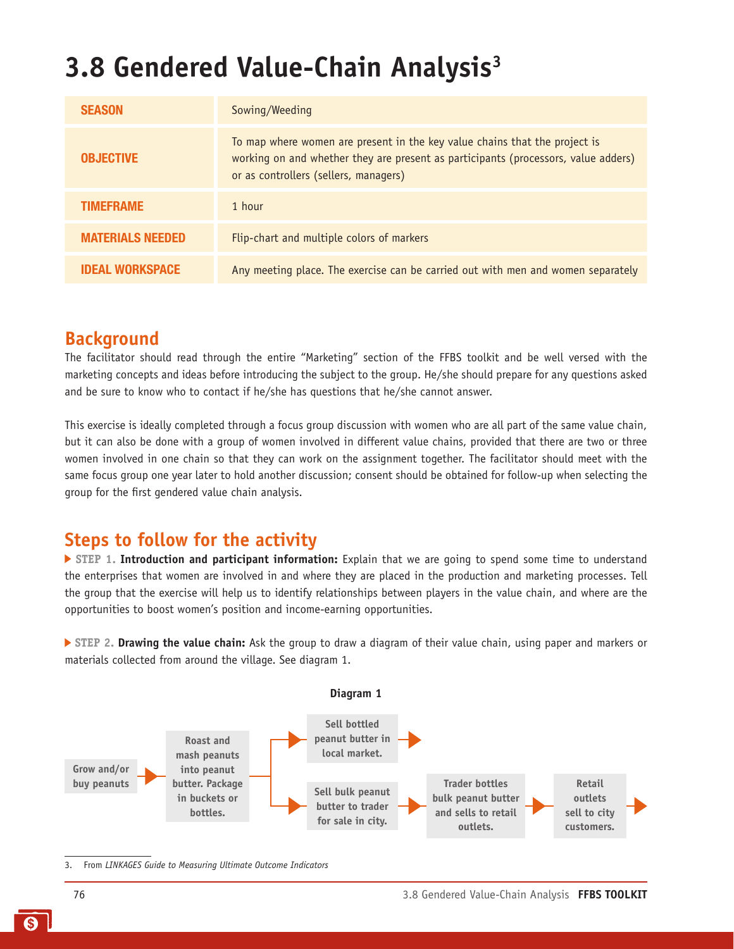## **3.8 Gendered Value-Chain Analysis3**

| <b>SEASON</b>           | Sowing/Weeding                                                                                                                                                                                            |
|-------------------------|-----------------------------------------------------------------------------------------------------------------------------------------------------------------------------------------------------------|
| <b>OBJECTIVE</b>        | To map where women are present in the key value chains that the project is<br>working on and whether they are present as participants (processors, value adders)<br>or as controllers (sellers, managers) |
| <b>TIMEFRAME</b>        | 1 hour                                                                                                                                                                                                    |
| <b>MATERIALS NEEDED</b> | Flip-chart and multiple colors of markers                                                                                                                                                                 |
| <b>IDEAL WORKSPACE</b>  | Any meeting place. The exercise can be carried out with men and women separately                                                                                                                          |

#### **Background**

The facilitator should read through the entire "Marketing" section of the FFBS toolkit and be well versed with the marketing concepts and ideas before introducing the subject to the group. He/she should prepare for any questions asked and be sure to know who to contact if he/she has questions that he/she cannot answer.

This exercise is ideally completed through a focus group discussion with women who are all part of the same value chain, but it can also be done with a group of women involved in different value chains, provided that there are two or three women involved in one chain so that they can work on the assignment together. The facilitator should meet with the same focus group one year later to hold another discussion; consent should be obtained for follow-up when selecting the group for the first gendered value chain analysis.

### **Steps to follow for the activity**

 **STEP 1. Introduction and participant information:** Explain that we are going to spend some time to understand the enterprises that women are involved in and where they are placed in the production and marketing processes. Tell the group that the exercise will help us to identify relationships between players in the value chain, and where are the opportunities to boost women's position and income-earning opportunities.

 **STEP 2. Drawing the value chain:** Ask the group to draw a diagram of their value chain, using paper and markers or materials collected from around the village. See diagram 1.



3. From *LINKAGES Guide to Measuring Ultimate Outcome Indicators*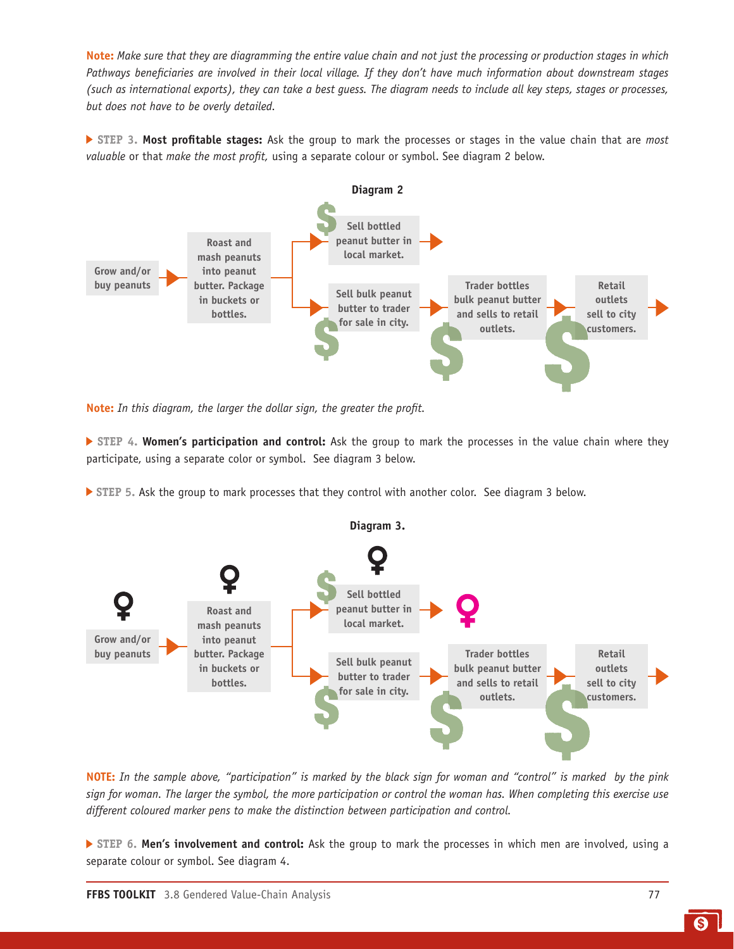**Note:** *Make sure that they are diagramming the entire value chain and not just the processing or production stages in which Pathways beneficiaries are involved in their local village. If they don't have much information about downstream stages (such as international exports), they can take a best guess. The diagram needs to include all key steps, stages or processes, but does not have to be overly detailed.* 

 **STEP 3. Most profitable stages:** Ask the group to mark the processes or stages in the value chain that are *most valuable* or that *make the most profit,* using a separate colour or symbol. See diagram 2 below.



**Note:** *In this diagram, the larger the dollar sign, the greater the profit.* 

**STEP 4. Women's participation and control:** Ask the group to mark the processes in the value chain where they participate, using a separate color or symbol. See diagram 3 below.

**STEP 5. Ask the group to mark processes that they control with another color. See diagram 3 below.** 



**NOTE:** *In the sample above, "participation" is marked by the black sign for woman and "control" is marked by the pink sign for woman. The larger the symbol, the more participation or control the woman has. When completing this exercise use different coloured marker pens to make the distinction between participation and control.*

 **STEP 6. Men's involvement and control:** Ask the group to mark the processes in which men are involved, using a separate colour or symbol. See diagram 4.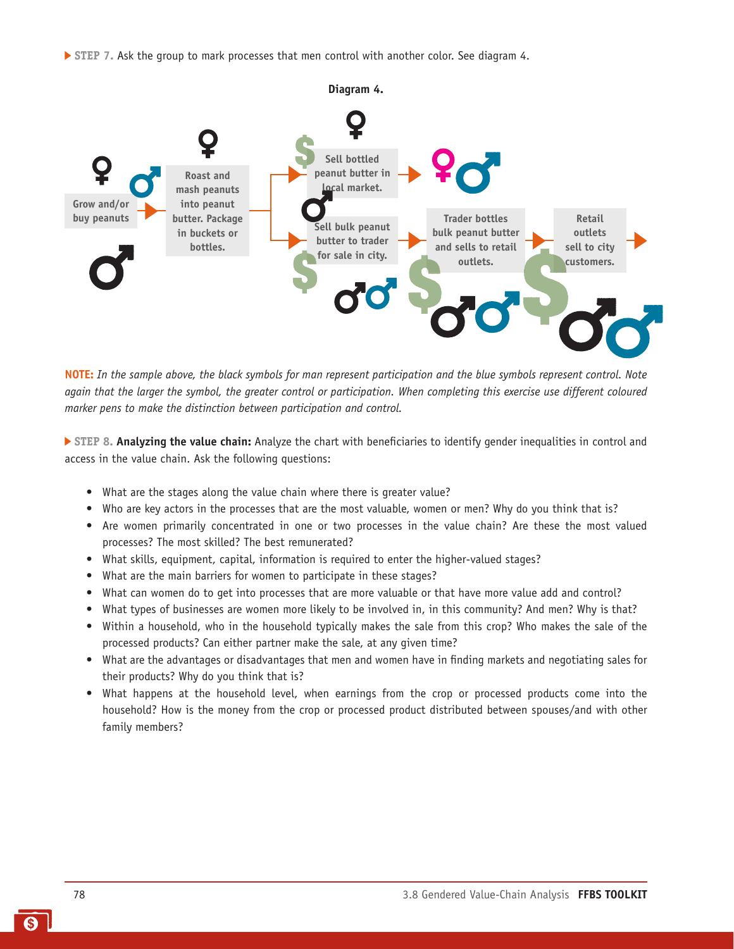**STEP 7.** Ask the group to mark processes that men control with another color. See diagram 4.



**NOTE:** *In the sample above, the black symbols for man represent participation and the blue symbols represent control. Note again that the larger the symbol, the greater control or participation. When completing this exercise use different coloured marker pens to make the distinction between participation and control.*

 **STEP 8. Analyzing the value chain:** Analyze the chart with beneficiaries to identify gender inequalities in control and access in the value chain. Ask the following questions:

- What are the stages along the value chain where there is greater value?
- Who are key actors in the processes that are the most valuable, women or men? Why do you think that is?
- Are women primarily concentrated in one or two processes in the value chain? Are these the most valued processes? The most skilled? The best remunerated?
- What skills, equipment, capital, information is required to enter the higher-valued stages?
- What are the main barriers for women to participate in these stages?
- What can women do to get into processes that are more valuable or that have more value add and control?
- What types of businesses are women more likely to be involved in, in this community? And men? Why is that?
- Within a household, who in the household typically makes the sale from this crop? Who makes the sale of the processed products? Can either partner make the sale, at any given time?
- What are the advantages or disadvantages that men and women have in finding markets and negotiating sales for their products? Why do you think that is?
- What happens at the household level, when earnings from the crop or processed products come into the household? How is the money from the crop or processed product distributed between spouses/and with other family members?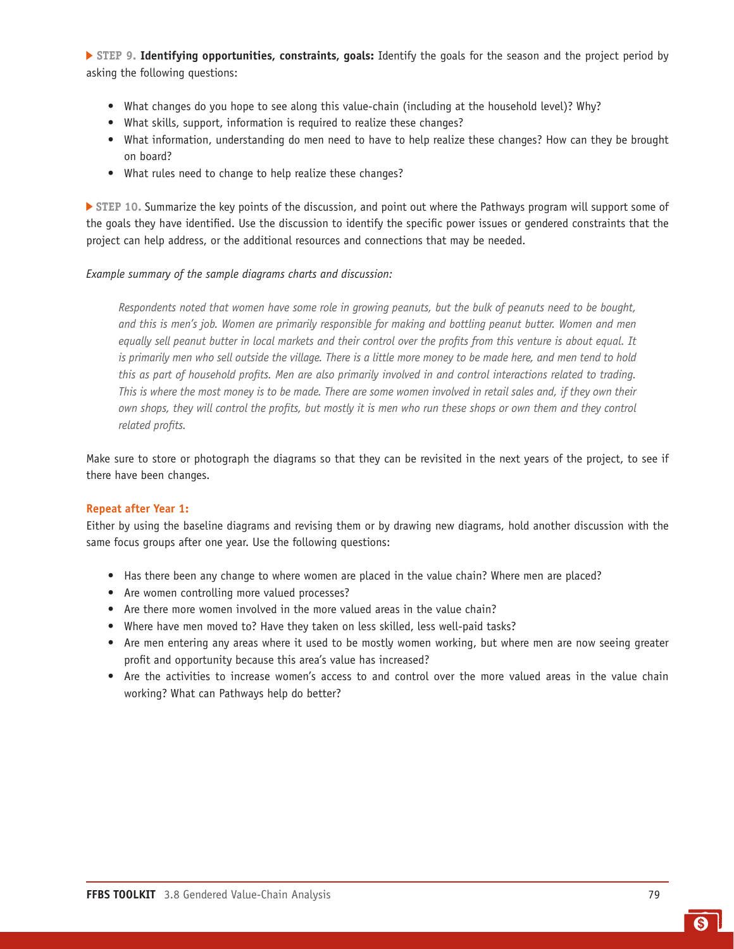**STEP 9. Identifying opportunities, constraints, goals:** Identify the goals for the season and the project period by asking the following questions:

- What changes do you hope to see along this value-chain (including at the household level)? Why?
- What skills, support, information is required to realize these changes?
- What information, understanding do men need to have to help realize these changes? How can they be brought on board?
- What rules need to change to help realize these changes?

 **STEP 10.** Summarize the key points of the discussion, and point out where the Pathways program will support some of the goals they have identified. Use the discussion to identify the specific power issues or gendered constraints that the project can help address, or the additional resources and connections that may be needed.

#### *Example summary of the sample diagrams charts and discussion:*

*Respondents noted that women have some role in growing peanuts, but the bulk of peanuts need to be bought, and this is men's job. Women are primarily responsible for making and bottling peanut butter. Women and men equally sell peanut butter in local markets and their control over the profits from this venture is about equal. It is primarily men who sell outside the village. There is a little more money to be made here, and men tend to hold this as part of household profits. Men are also primarily involved in and control interactions related to trading. This is where the most money is to be made. There are some women involved in retail sales and, if they own their own shops, they will control the profits, but mostly it is men who run these shops or own them and they control related profits.* 

Make sure to store or photograph the diagrams so that they can be revisited in the next years of the project, to see if there have been changes.

#### **Repeat after Year 1:**

Either by using the baseline diagrams and revising them or by drawing new diagrams, hold another discussion with the same focus groups after one year. Use the following questions:

- Has there been any change to where women are placed in the value chain? Where men are placed?
- Are women controlling more valued processes?
- Are there more women involved in the more valued areas in the value chain?
- Where have men moved to? Have they taken on less skilled, less well-paid tasks?
- Are men entering any areas where it used to be mostly women working, but where men are now seeing greater profit and opportunity because this area's value has increased?
- Are the activities to increase women's access to and control over the more valued areas in the value chain working? What can Pathways help do better?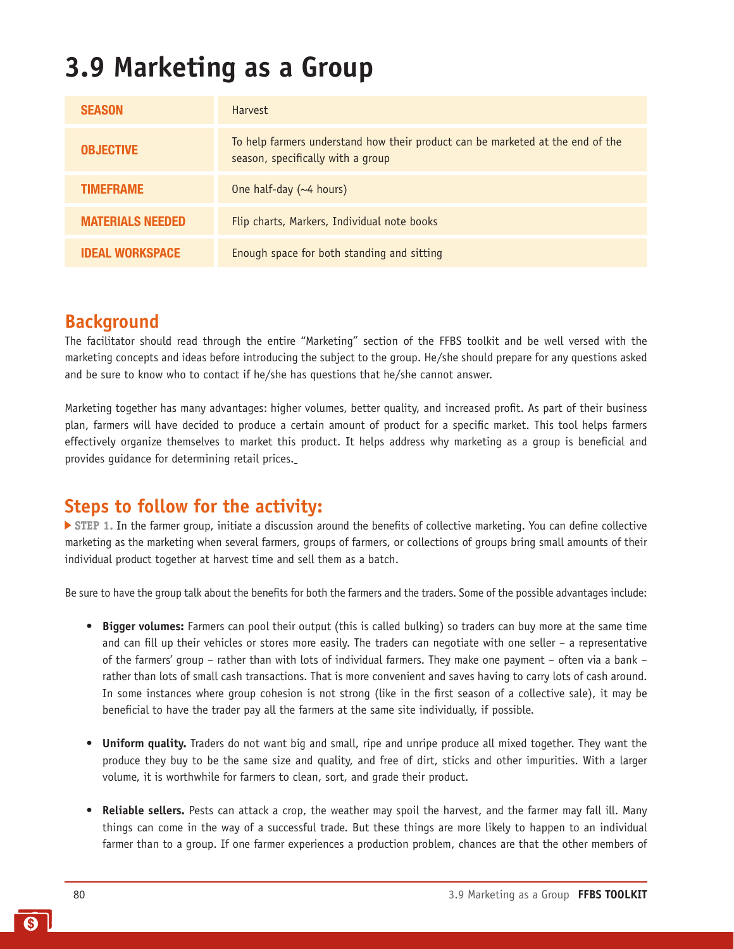## **3.9 Marketing as a Group**

| <b>SEASON</b>           | <b>Harvest</b>                                                                                                      |
|-------------------------|---------------------------------------------------------------------------------------------------------------------|
| <b>OBJECTIVE</b>        | To help farmers understand how their product can be marketed at the end of the<br>season, specifically with a group |
| <b>TIMEFRAME</b>        | One half-day $(\sim 4$ hours)                                                                                       |
| <b>MATERIALS NEEDED</b> | Flip charts, Markers, Individual note books                                                                         |
| <b>IDEAL WORKSPACE</b>  | Enough space for both standing and sitting                                                                          |

### **Background**

The facilitator should read through the entire "Marketing" section of the FFBS toolkit and be well versed with the marketing concepts and ideas before introducing the subject to the group. He/she should prepare for any questions asked and be sure to know who to contact if he/she has questions that he/she cannot answer.

Marketing together has many advantages: higher volumes, better quality, and increased profit. As part of their business plan, farmers will have decided to produce a certain amount of product for a specific market. This tool helps farmers effectively organize themselves to market this product. It helps address why marketing as a group is beneficial and provides guidance for determining retail prices.

### **Steps to follow for the activity:**

 **STEP 1.** In the farmer group, initiate a discussion around the benefits of collective marketing. You can define collective marketing as the marketing when several farmers, groups of farmers, or collections of groups bring small amounts of their individual product together at harvest time and sell them as a batch.

Be sure to have the group talk about the benefits for both the farmers and the traders. Some of the possible advantages include:

- **• Bigger volumes:** Farmers can pool their output (this is called bulking) so traders can buy more at the same time and can fill up their vehicles or stores more easily. The traders can negotiate with one seller – a representative of the farmers' group – rather than with lots of individual farmers. They make one payment – often via a bank – rather than lots of small cash transactions. That is more convenient and saves having to carry lots of cash around. In some instances where group cohesion is not strong (like in the first season of a collective sale), it may be beneficial to have the trader pay all the farmers at the same site individually, if possible.
- **• Uniform quality.** Traders do not want big and small, ripe and unripe produce all mixed together. They want the produce they buy to be the same size and quality, and free of dirt, sticks and other impurities. With a larger volume, it is worthwhile for farmers to clean, sort, and grade their product.
- **• Reliable sellers.** Pests can attack a crop, the weather may spoil the harvest, and the farmer may fall ill. Many things can come in the way of a successful trade. But these things are more likely to happen to an individual farmer than to a group. If one farmer experiences a production problem, chances are that the other members of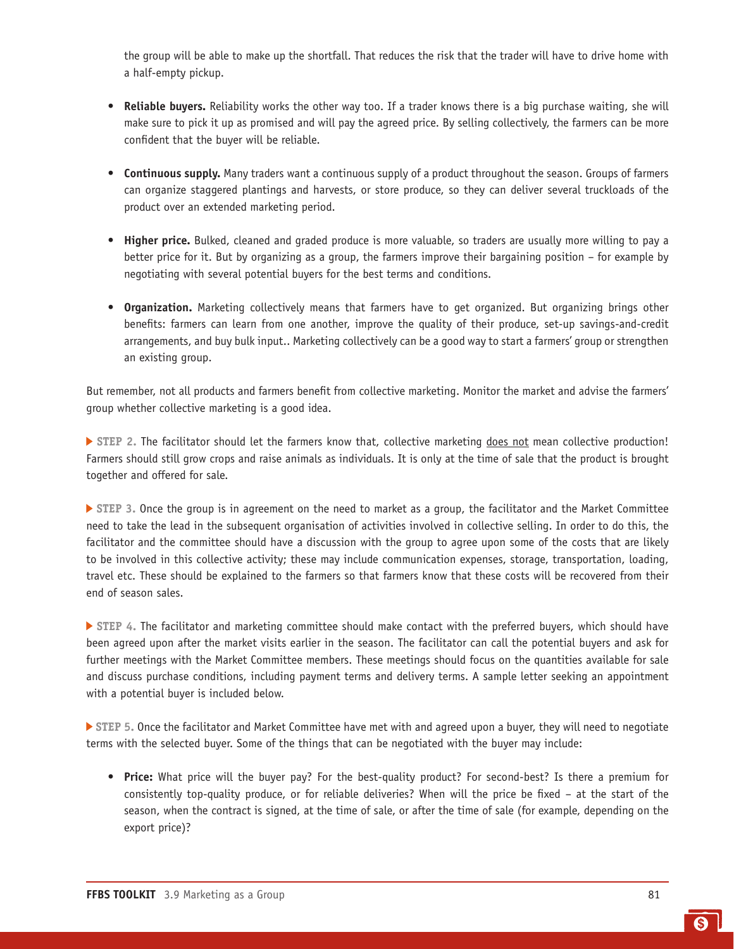the group will be able to make up the shortfall. That reduces the risk that the trader will have to drive home with a half-empty pickup.

- **• Reliable buyers.** Reliability works the other way too. If a trader knows there is a big purchase waiting, she will make sure to pick it up as promised and will pay the agreed price. By selling collectively, the farmers can be more confident that the buyer will be reliable.
- **• Continuous supply.** Many traders want a continuous supply of a product throughout the season. Groups of farmers can organize staggered plantings and harvests, or store produce, so they can deliver several truckloads of the product over an extended marketing period.
- **• Higher price.** Bulked, cleaned and graded produce is more valuable, so traders are usually more willing to pay a better price for it. But by organizing as a group, the farmers improve their bargaining position – for example by negotiating with several potential buyers for the best terms and conditions.
- **• Organization.** Marketing collectively means that farmers have to get organized. But organizing brings other benefits: farmers can learn from one another, improve the quality of their produce, set-up savings-and-credit arrangements, and buy bulk input.. Marketing collectively can be a good way to start a farmers' group or strengthen an existing group.

But remember, not all products and farmers benefit from collective marketing. Monitor the market and advise the farmers' group whether collective marketing is a good idea.

**STEP 2.** The facilitator should let the farmers know that, collective marketing does not mean collective production! Farmers should still grow crops and raise animals as individuals. It is only at the time of sale that the product is brought together and offered for sale.

 **STEP 3.** Once the group is in agreement on the need to market as a group, the facilitator and the Market Committee need to take the lead in the subsequent organisation of activities involved in collective selling. In order to do this, the facilitator and the committee should have a discussion with the group to agree upon some of the costs that are likely to be involved in this collective activity; these may include communication expenses, storage, transportation, loading, travel etc. These should be explained to the farmers so that farmers know that these costs will be recovered from their end of season sales.

 **STEP 4.** The facilitator and marketing committee should make contact with the preferred buyers, which should have been agreed upon after the market visits earlier in the season. The facilitator can call the potential buyers and ask for further meetings with the Market Committee members. These meetings should focus on the quantities available for sale and discuss purchase conditions, including payment terms and delivery terms. A sample letter seeking an appointment with a potential buyer is included below.

 **STEP 5.** Once the facilitator and Market Committee have met with and agreed upon a buyer, they will need to negotiate terms with the selected buyer. Some of the things that can be negotiated with the buyer may include:

**• Price:** What price will the buyer pay? For the best-quality product? For second-best? Is there a premium for consistently top-quality produce, or for reliable deliveries? When will the price be fixed – at the start of the season, when the contract is signed, at the time of sale, or after the time of sale (for example, depending on the export price)?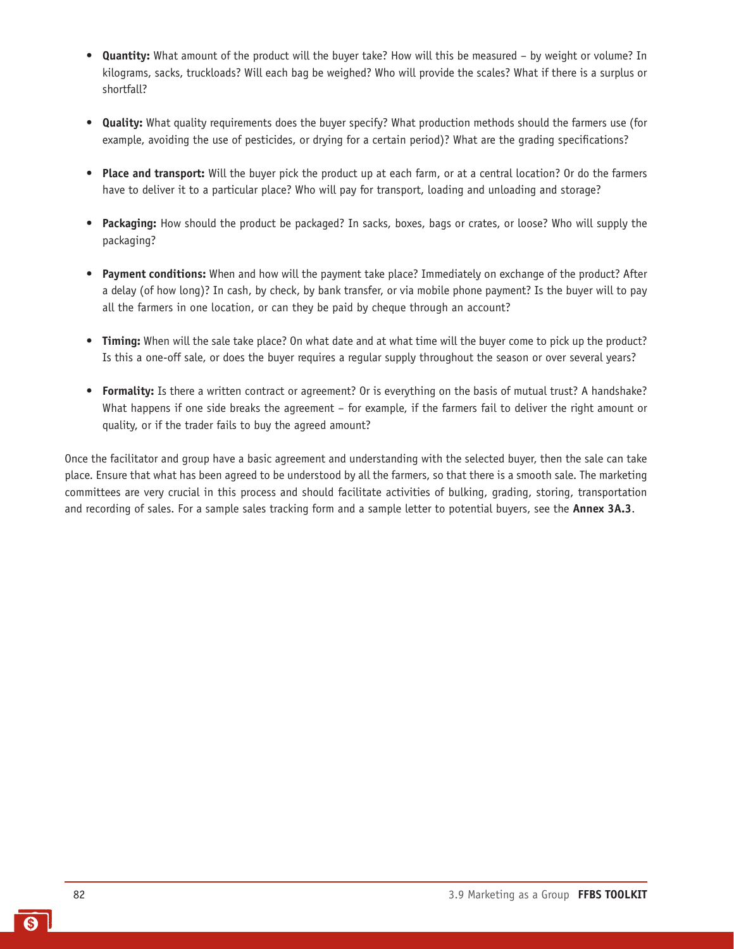- **• Quantity:** What amount of the product will the buyer take? How will this be measured by weight or volume? In kilograms, sacks, truckloads? Will each bag be weighed? Who will provide the scales? What if there is a surplus or shortfall?
- **• Quality:** What quality requirements does the buyer specify? What production methods should the farmers use (for example, avoiding the use of pesticides, or drying for a certain period)? What are the grading specifications?
- **• Place and transport:** Will the buyer pick the product up at each farm, or at a central location? Or do the farmers have to deliver it to a particular place? Who will pay for transport, loading and unloading and storage?
- **• Packaging:** How should the product be packaged? In sacks, boxes, bags or crates, or loose? Who will supply the packaging?
- **• Payment conditions:** When and how will the payment take place? Immediately on exchange of the product? After a delay (of how long)? In cash, by check, by bank transfer, or via mobile phone payment? Is the buyer will to pay all the farmers in one location, or can they be paid by cheque through an account?
- **• Timing:** When will the sale take place? On what date and at what time will the buyer come to pick up the product? Is this a one-off sale, or does the buyer requires a regular supply throughout the season or over several years?
- **• Formality:** Is there a written contract or agreement? Or is everything on the basis of mutual trust? A handshake? What happens if one side breaks the agreement – for example, if the farmers fail to deliver the right amount or quality, or if the trader fails to buy the agreed amount?

Once the facilitator and group have a basic agreement and understanding with the selected buyer, then the sale can take place. Ensure that what has been agreed to be understood by all the farmers, so that there is a smooth sale. The marketing committees are very crucial in this process and should facilitate activities of bulking, grading, storing, transportation and recording of sales. For a sample sales tracking form and a sample letter to potential buyers, see the **Annex 3A.3**.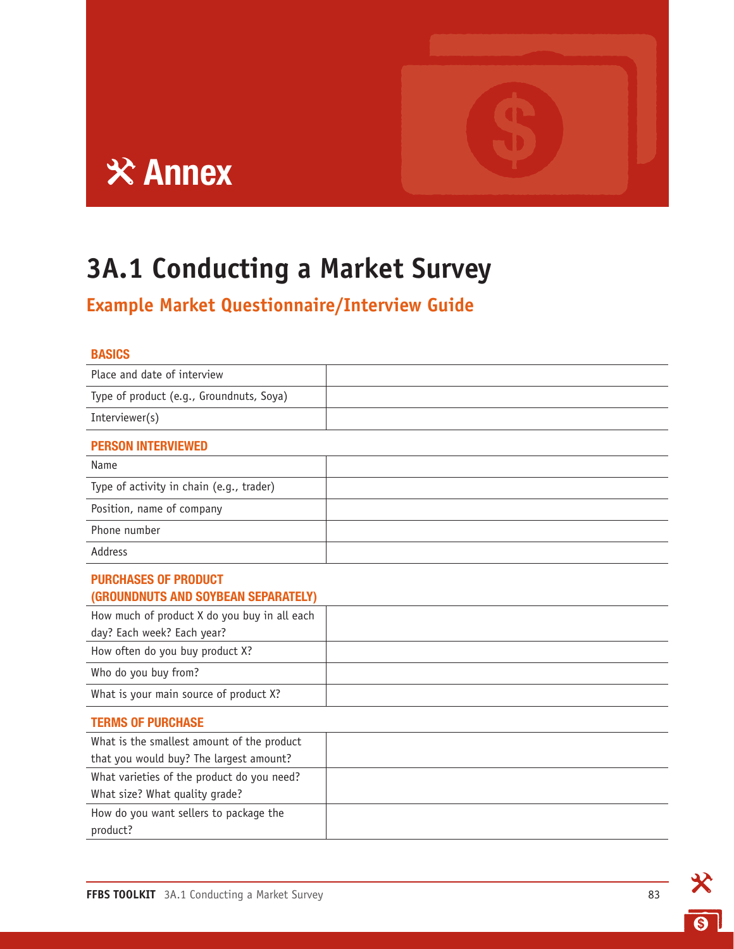

# $\overline{\mathbf{X}}$  Annex

## **3A.1 Conducting a Market Survey**

**Example Market Questionnaire/Interview Guide** 

| <b>BASICS</b>                                                                         |  |
|---------------------------------------------------------------------------------------|--|
| Place and date of interview                                                           |  |
| Type of product (e.g., Groundnuts, Soya)                                              |  |
| Interviewer(s)                                                                        |  |
| <b>PERSON INTERVIEWED</b>                                                             |  |
| Name                                                                                  |  |
| Type of activity in chain (e.g., trader)                                              |  |
| Position, name of company                                                             |  |
| Phone number                                                                          |  |
| Address                                                                               |  |
| <b>PURCHASES OF PRODUCT</b><br>(GROUNDNUTS AND SOYBEAN SEPARATELY)                    |  |
| How much of product X do you buy in all each<br>day? Each week? Each year?            |  |
| How often do you buy product X?                                                       |  |
| Who do you buy from?                                                                  |  |
| What is your main source of product X?                                                |  |
| <b>TERMS OF PURCHASE</b>                                                              |  |
| What is the smallest amount of the product<br>that you would buy? The largest amount? |  |
| What varieties of the product do you need?<br>What size? What quality grade?          |  |
| How do you want sellers to package the<br>product?                                    |  |

G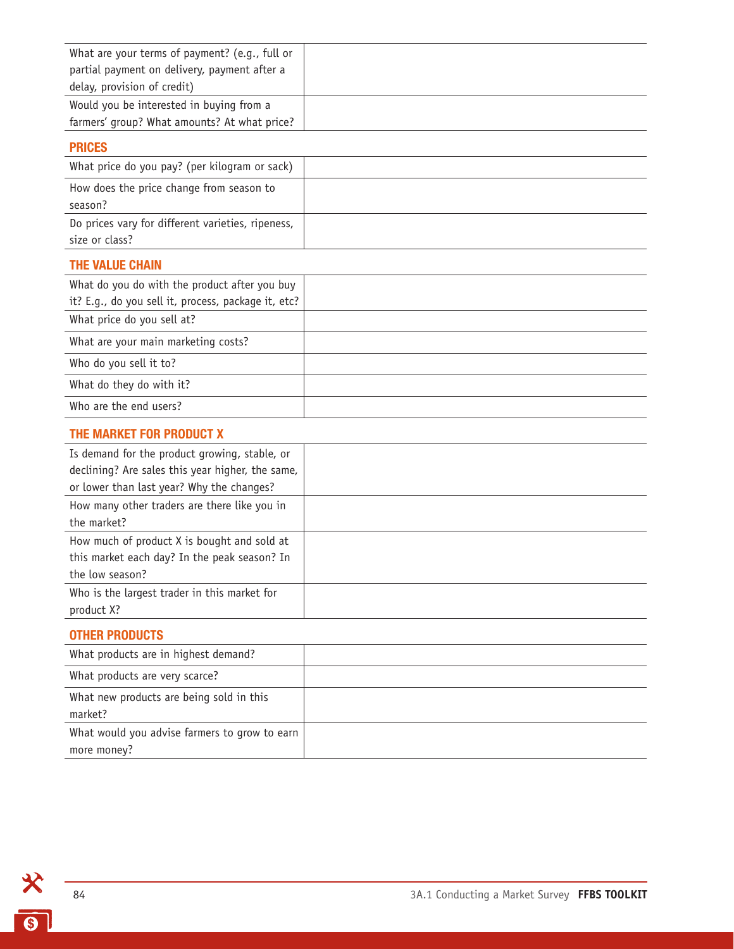| What are your terms of payment? (e.g., full or                  |  |
|-----------------------------------------------------------------|--|
| partial payment on delivery, payment after a                    |  |
| delay, provision of credit)                                     |  |
| Would you be interested in buying from a                        |  |
| farmers' group? What amounts? At what price?                    |  |
| <b>PRICES</b>                                                   |  |
| What price do you pay? (per kilogram or sack)                   |  |
| How does the price change from season to                        |  |
| season?                                                         |  |
| Do prices vary for different varieties, ripeness,               |  |
| size or class?                                                  |  |
| <b>THE VALUE CHAIN</b>                                          |  |
| What do you do with the product after you buy                   |  |
| it? E.g., do you sell it, process, package it, etc?             |  |
| What price do you sell at?                                      |  |
| What are your main marketing costs?                             |  |
| Who do you sell it to?                                          |  |
| What do they do with it?                                        |  |
| Who are the end users?                                          |  |
| THE MARKET FOR PRODUCT X                                        |  |
| Is demand for the product growing, stable, or                   |  |
| declining? Are sales this year higher, the same,                |  |
| or lower than last year? Why the changes?                       |  |
| How many other traders are there like you in                    |  |
| the market?                                                     |  |
| How much of product X is bought and sold at                     |  |
| this market each day? In the peak season? In<br>the low season? |  |
| Who is the largest trader in this market for                    |  |
| product X?                                                      |  |
| <b>OTHER PRODUCTS</b>                                           |  |
| What products are in highest demand?                            |  |
| What products are very scarce?                                  |  |
| What new products are being sold in this                        |  |
| market?                                                         |  |
| What would you advise farmers to grow to earn                   |  |
| more money?                                                     |  |

 $\mathbf{\hat{x}}$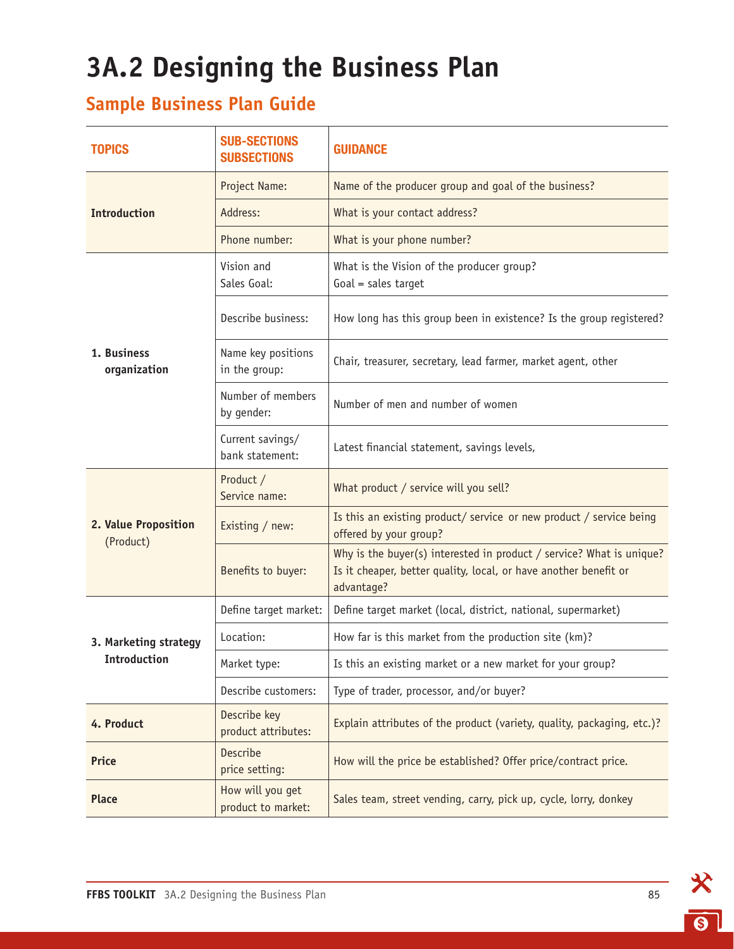## **3A.2 Designing the Business Plan**

### **Sample Business Plan Guide**

| <b>TOPICS</b>                                          | <b>SUB-SECTIONS</b><br><b>SUBSECTIONS</b> | <b>GUIDANCE</b>                                                                                                                                        |  |  |
|--------------------------------------------------------|-------------------------------------------|--------------------------------------------------------------------------------------------------------------------------------------------------------|--|--|
|                                                        | Project Name:                             | Name of the producer group and goal of the business?                                                                                                   |  |  |
| <b>Introduction</b>                                    | Address:                                  | What is your contact address?                                                                                                                          |  |  |
|                                                        | Phone number:                             | What is your phone number?                                                                                                                             |  |  |
| 1. Business<br>organization                            | Vision and<br>Sales Goal:                 | What is the Vision of the producer group?<br>$Goal = sales target$                                                                                     |  |  |
|                                                        | Describe business:                        | How long has this group been in existence? Is the group registered?                                                                                    |  |  |
|                                                        | Name key positions<br>in the group:       | Chair, treasurer, secretary, lead farmer, market agent, other                                                                                          |  |  |
|                                                        | Number of members<br>by gender:           | Number of men and number of women                                                                                                                      |  |  |
|                                                        | Current savings/<br>bank statement:       | Latest financial statement, savings levels,                                                                                                            |  |  |
|                                                        | Product /<br>Service name:                | What product / service will you sell?                                                                                                                  |  |  |
| 2. Value Proposition<br>(Product)                      | Existing / new:                           | Is this an existing product/ service or new product / service being<br>offered by your group?                                                          |  |  |
|                                                        | Benefits to buyer:                        | Why is the buyer(s) interested in product / service? What is unique?<br>Is it cheaper, better quality, local, or have another benefit or<br>advantage? |  |  |
|                                                        | Define target market:                     | Define target market (local, district, national, supermarket)                                                                                          |  |  |
| 3. Marketing strategy                                  | Location:                                 | How far is this market from the production site (km)?                                                                                                  |  |  |
| <b>Introduction</b>                                    | Market type:                              | Is this an existing market or a new market for your group?                                                                                             |  |  |
|                                                        | Describe customers:                       | Type of trader, processor, and/or buyer?                                                                                                               |  |  |
| 4. Product                                             | Describe key<br>product attributes:       | Explain attributes of the product (variety, quality, packaging, etc.)?                                                                                 |  |  |
| Price                                                  | Describe<br>price setting:                | How will the price be established? Offer price/contract price.                                                                                         |  |  |
| How will you get<br><b>Place</b><br>product to market: |                                           | Sales team, street vending, carry, pick up, cycle, lorry, donkey                                                                                       |  |  |

父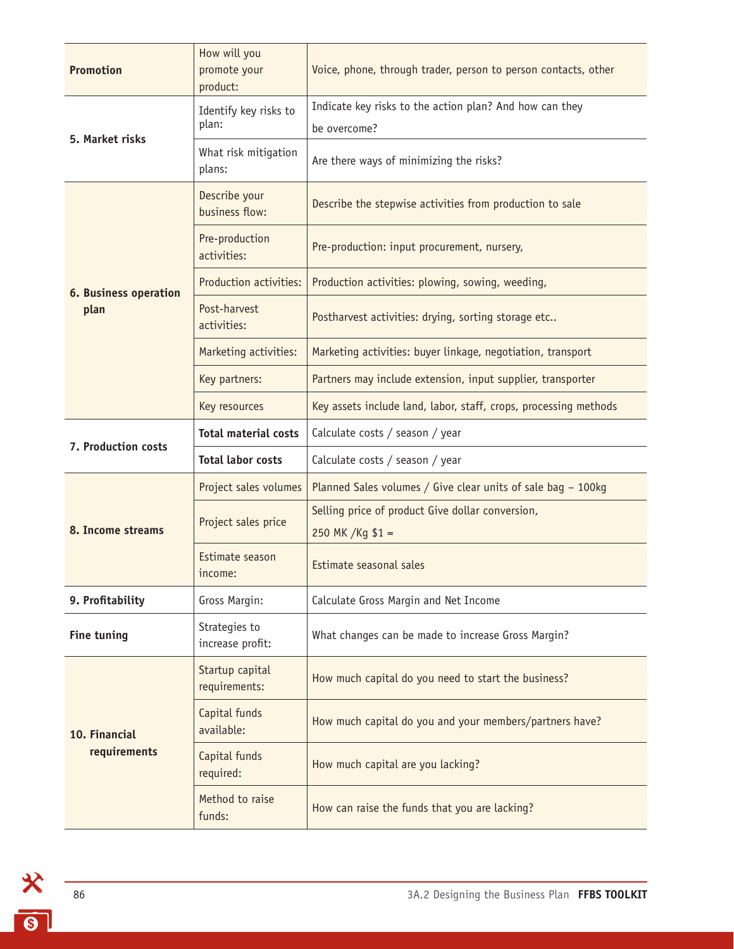| <b>Promotion</b>              | How will you<br>promote your<br>product: | Voice, phone, through trader, person to person contacts, other          |  |  |  |
|-------------------------------|------------------------------------------|-------------------------------------------------------------------------|--|--|--|
| 5. Market risks               | Identify key risks to<br>plan:           | Indicate key risks to the action plan? And how can they<br>be overcome? |  |  |  |
|                               | What risk mitigation<br>plans:           | Are there ways of minimizing the risks?                                 |  |  |  |
|                               | Describe your<br>business flow:          | Describe the stepwise activities from production to sale                |  |  |  |
|                               | Pre-production<br>activities:            | Pre-production: input procurement, nursery,                             |  |  |  |
| <b>6. Business operation</b>  | Production activities:                   | Production activities: plowing, sowing, weeding,                        |  |  |  |
| plan                          | Post-harvest<br>activities:              | Postharvest activities: drying, sorting storage etc                     |  |  |  |
|                               | Marketing activities:                    | Marketing activities: buyer linkage, negotiation, transport             |  |  |  |
|                               | Key partners:                            | Partners may include extension, input supplier, transporter             |  |  |  |
|                               | Key resources                            | Key assets include land, labor, staff, crops, processing methods        |  |  |  |
| 7. Production costs           | <b>Total material costs</b>              | Calculate costs / season / year                                         |  |  |  |
|                               | <b>Total labor costs</b>                 | Calculate costs / season / year                                         |  |  |  |
| 8. Income streams             | Project sales volumes                    | Planned Sales volumes / Give clear units of sale bag - 100kg            |  |  |  |
|                               | Project sales price                      | Selling price of product Give dollar conversion,<br>250 MK / Kg $$1 =$  |  |  |  |
|                               | Estimate season<br>income:               | Estimate seasonal sales                                                 |  |  |  |
| 9. Profitability              | Gross Margin:                            | Calculate Gross Margin and Net Income                                   |  |  |  |
| <b>Fine tuning</b>            | Strategies to<br>increase profit:        | What changes can be made to increase Gross Margin?                      |  |  |  |
| 10. Financial<br>requirements | Startup capital<br>requirements:         | How much capital do you need to start the business?                     |  |  |  |
|                               | Capital funds<br>available:              | How much capital do you and your members/partners have?                 |  |  |  |
|                               | Capital funds<br>required:               | How much capital are you lacking?                                       |  |  |  |
|                               | Method to raise<br>funds:                | How can raise the funds that you are lacking?                           |  |  |  |

 $\mathbf{\mathbf{\hat{X}}}$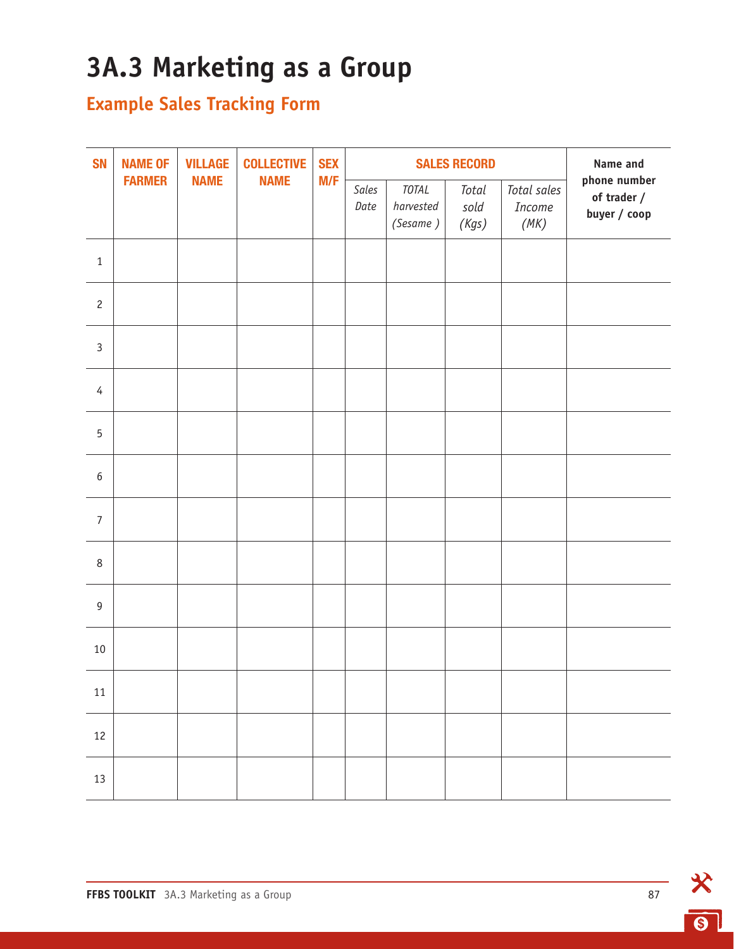## **3A.3 Marketing as a Group**

### **Example Sales Tracking Form**

| <b>SN</b>      | <b>NAME OF</b> | <b>VILLAGE</b> | <b>COLLECTIVE</b> |     |               | <b>SEX</b><br><b>SALES RECORD</b> |                        |                               |                                             |  |
|----------------|----------------|----------------|-------------------|-----|---------------|-----------------------------------|------------------------|-------------------------------|---------------------------------------------|--|
|                | <b>FARMER</b>  | <b>NAME</b>    | <b>NAME</b>       | M/F | Sales<br>Date | TOTAL<br>harvested<br>(Sesame)    | Total<br>sold<br>(Kgs) | Total sales<br>Income<br>(MK) | phone number<br>of trader /<br>buyer / coop |  |
| $1\,$          |                |                |                   |     |               |                                   |                        |                               |                                             |  |
| $\overline{c}$ |                |                |                   |     |               |                                   |                        |                               |                                             |  |
| $\mathbf{3}$   |                |                |                   |     |               |                                   |                        |                               |                                             |  |
| $\overline{4}$ |                |                |                   |     |               |                                   |                        |                               |                                             |  |
| 5              |                |                |                   |     |               |                                   |                        |                               |                                             |  |
| $6\,$          |                |                |                   |     |               |                                   |                        |                               |                                             |  |
| $\overline{7}$ |                |                |                   |     |               |                                   |                        |                               |                                             |  |
| $\,8\,$        |                |                |                   |     |               |                                   |                        |                               |                                             |  |
| $\overline{9}$ |                |                |                   |     |               |                                   |                        |                               |                                             |  |
| $10\,$         |                |                |                   |     |               |                                   |                        |                               |                                             |  |
| $11\,$         |                |                |                   |     |               |                                   |                        |                               |                                             |  |
| 12             |                |                |                   |     |               |                                   |                        |                               |                                             |  |
| 13             |                |                |                   |     |               |                                   |                        |                               |                                             |  |

 $\odot$